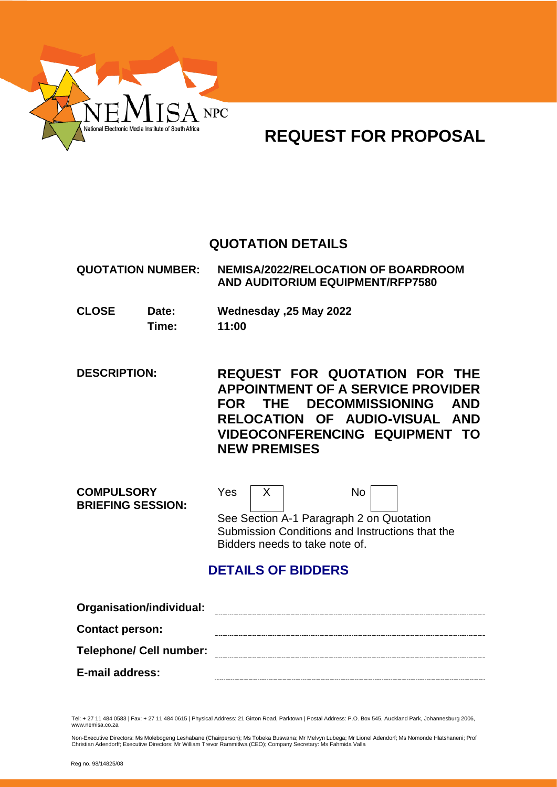

# **REQUEST FOR PROPOSAL**

# **QUOTATION DETAILS**

**QUOTATION NUMBER: NEMISA/2022/RELOCATION OF BOARDROOM AND AUDITORIUM EQUIPMENT/RFP7580**

**CLOSE Date: Wednesday ,25 May 2022 Time: 11:00**

**DESCRIPTION: REQUEST FOR QUOTATION FOR THE APPOINTMENT OF A SERVICE PROVIDER FOR THE DECOMMISSIONING AND RELOCATION OF AUDIO-VISUAL AND VIDEOCONFERENCING EQUIPMENT TO NEW PREMISES**

| <b>COMPULSORY</b><br><b>BRIEFING SESSION:</b> | Yes | <b>No</b>                                                                                                                     |  |
|-----------------------------------------------|-----|-------------------------------------------------------------------------------------------------------------------------------|--|
|                                               |     | See Section A-1 Paragraph 2 on Quotation<br>Submission Conditions and Instructions that the<br>Bidders needs to take note of. |  |

# **DETAILS OF BIDDERS**

| Organisation/individual:       |  |
|--------------------------------|--|
| <b>Contact person:</b>         |  |
| <b>Telephone/ Cell number:</b> |  |
| E-mail address:                |  |

Tel: + 27 11 484 0583 | Fax: + 27 11 484 0615 | Physical Address: 21 Girton Road, Parktown | Postal Address: P.O. Box 545, Auckland Park, Johannesburg 2006, www.nemisa.co.za

Non-Executive Directors: Ms Molebogeng Leshabane (Chairperson); Ms Tobeka Buswana; Mr Melvyn Lubega; Mr Lionel Adendorf; Ms Nomonde Hlatshaneni; Prof<br>Christian Adendorff; Executive Directors: Mr William Trevor Rammitlwa (C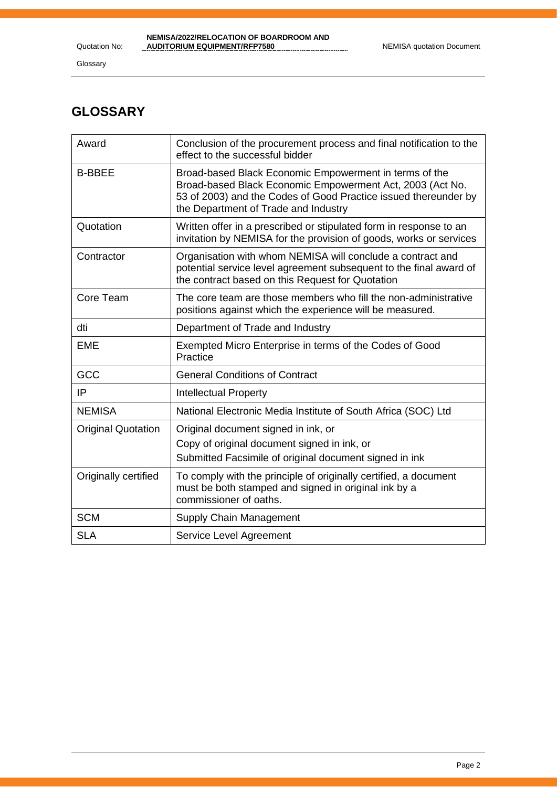Glossary

# **GLOSSARY**

| Award                     | Conclusion of the procurement process and final notification to the<br>effect to the successful bidder                                                                                                                         |
|---------------------------|--------------------------------------------------------------------------------------------------------------------------------------------------------------------------------------------------------------------------------|
| <b>B-BBEE</b>             | Broad-based Black Economic Empowerment in terms of the<br>Broad-based Black Economic Empowerment Act, 2003 (Act No.<br>53 of 2003) and the Codes of Good Practice issued thereunder by<br>the Department of Trade and Industry |
| Quotation                 | Written offer in a prescribed or stipulated form in response to an<br>invitation by NEMISA for the provision of goods, works or services                                                                                       |
| Contractor                | Organisation with whom NEMISA will conclude a contract and<br>potential service level agreement subsequent to the final award of<br>the contract based on this Request for Quotation                                           |
| Core Team                 | The core team are those members who fill the non-administrative<br>positions against which the experience will be measured.                                                                                                    |
| dti                       | Department of Trade and Industry                                                                                                                                                                                               |
| <b>EME</b>                | Exempted Micro Enterprise in terms of the Codes of Good<br>Practice                                                                                                                                                            |
| GCC                       | <b>General Conditions of Contract</b>                                                                                                                                                                                          |
| IP                        | <b>Intellectual Property</b>                                                                                                                                                                                                   |
| <b>NEMISA</b>             | National Electronic Media Institute of South Africa (SOC) Ltd                                                                                                                                                                  |
| <b>Original Quotation</b> | Original document signed in ink, or                                                                                                                                                                                            |
|                           | Copy of original document signed in ink, or                                                                                                                                                                                    |
|                           | Submitted Facsimile of original document signed in ink                                                                                                                                                                         |
| Originally certified      | To comply with the principle of originally certified, a document<br>must be both stamped and signed in original ink by a<br>commissioner of oaths.                                                                             |
| <b>SCM</b>                | Supply Chain Management                                                                                                                                                                                                        |
| <b>SLA</b>                | Service Level Agreement                                                                                                                                                                                                        |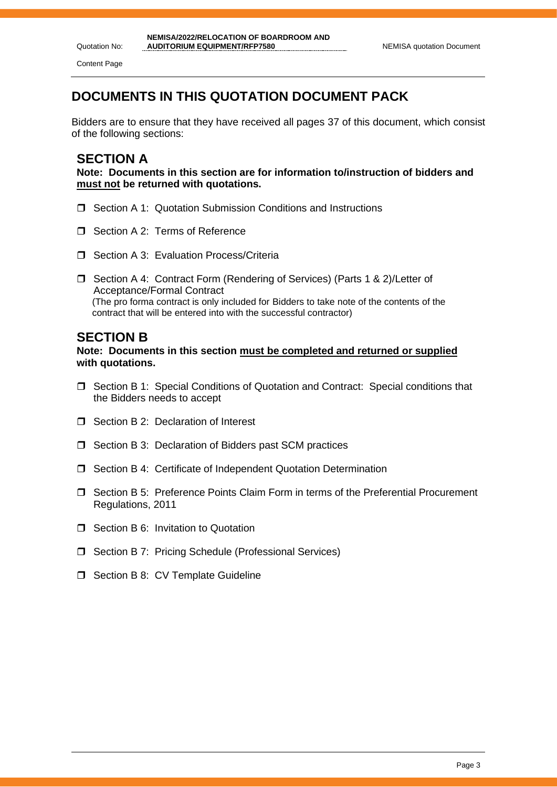Quotation No: Content Page

# **DOCUMENTS IN THIS QUOTATION DOCUMENT PACK**

Bidders are to ensure that they have received all pages 37 of this document, which consist of the following sections:

## **SECTION A**

**Note: Documents in this section are for information to/instruction of bidders and must not be returned with quotations.**

- □ Section A 1: Quotation Submission Conditions and Instructions
- Section A 2: Terms of Reference
- $\Box$  Section A 3: Evaluation Process/Criteria
- □ Section A 4: Contract Form (Rendering of Services) (Parts 1 & 2)/Letter of Acceptance/Formal Contract (The pro forma contract is only included for Bidders to take note of the contents of the contract that will be entered into with the successful contractor)

### **SECTION B**

**Note: Documents in this section must be completed and returned or supplied with quotations.**

- Section B 1: Special Conditions of Quotation and Contract: Special conditions that the Bidders needs to accept
- □ Section B 2: Declaration of Interest
- $\Box$  Section B 3: Declaration of Bidders past SCM practices
- □ Section B 4: Certificate of Independent Quotation Determination
- Section B 5: Preference Points Claim Form in terms of the Preferential Procurement Regulations, 2011
- **T** Section B 6: Invitation to Quotation
- □ Section B 7: Pricing Schedule (Professional Services)
- $\Box$  Section B 8: CV Template Guideline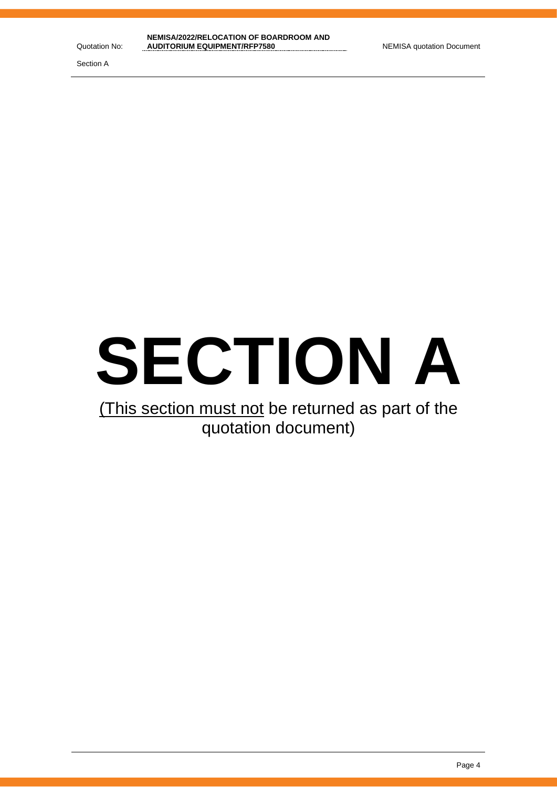Section A



# (This section must not be returned as part of the quotation document)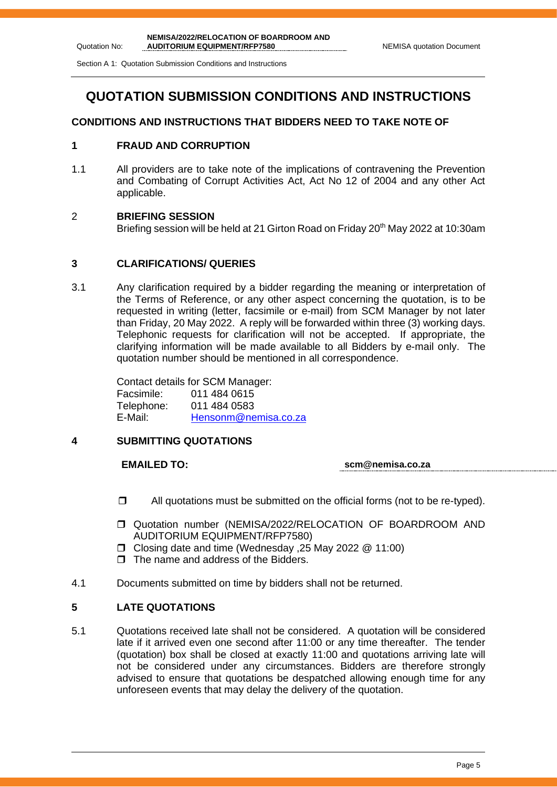Section A 1: Quotation Submission Conditions and Instructions

# **QUOTATION SUBMISSION CONDITIONS AND INSTRUCTIONS**

### **CONDITIONS AND INSTRUCTIONS THAT BIDDERS NEED TO TAKE NOTE OF**

### **1 FRAUD AND CORRUPTION**

1.1 All providers are to take note of the implications of contravening the Prevention and Combating of Corrupt Activities Act, Act No 12 of 2004 and any other Act applicable.

### 2 **BRIEFING SESSION**

Briefing session will be held at 21 Girton Road on Friday 20<sup>th</sup> May 2022 at 10:30am

### **3 CLARIFICATIONS/ QUERIES**

3.1 Any clarification required by a bidder regarding the meaning or interpretation of the Terms of Reference, or any other aspect concerning the quotation, is to be requested in writing (letter, facsimile or e-mail) from SCM Manager by not later than Friday, 20 May 2022. A reply will be forwarded within three (3) working days. Telephonic requests for clarification will not be accepted. If appropriate, the clarifying information will be made available to all Bidders by e-mail only. The quotation number should be mentioned in all correspondence.

> Contact details for SCM Manager: Facsimile: 011 484 0615 Telephone: 011 484 0583 E-Mail: [Hensonm@nemisa.co.za](mailto:Hensonm@nemisa.co.za)

### **4 SUBMITTING QUOTATIONS**

**EMAILED TO: scm@nemisa.co.za**

- $\Box$  All quotations must be submitted on the official forms (not to be re-typed).
- Quotation number (NEMISA/2022/RELOCATION OF BOARDROOM AND AUDITORIUM EQUIPMENT/RFP7580)
- Closing date and time (Wednesday ,25 May 2022 @ 11:00)
- $\Box$  The name and address of the Bidders.
- 4.1 Documents submitted on time by bidders shall not be returned.

### **5 LATE QUOTATIONS**

5.1 Quotations received late shall not be considered. A quotation will be considered late if it arrived even one second after 11:00 or any time thereafter. The tender (quotation) box shall be closed at exactly 11:00 and quotations arriving late will not be considered under any circumstances. Bidders are therefore strongly advised to ensure that quotations be despatched allowing enough time for any unforeseen events that may delay the delivery of the quotation.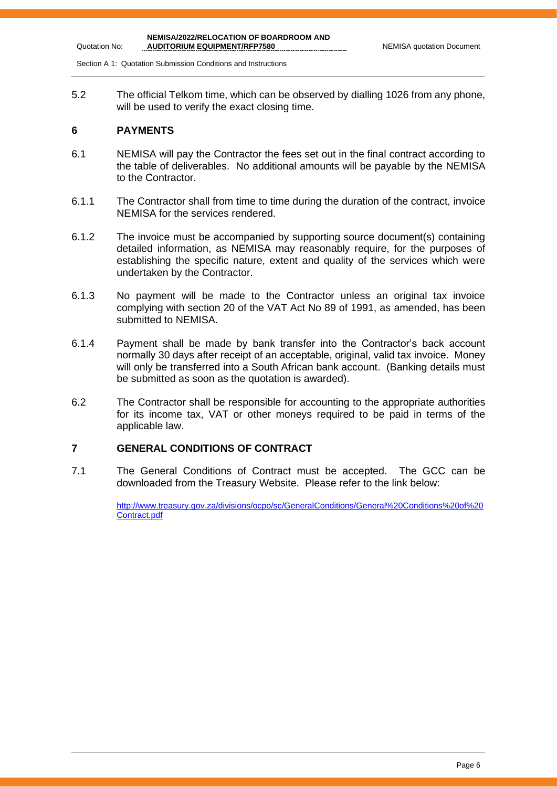Section A 1: Quotation Submission Conditions and Instructions

5.2 The official Telkom time, which can be observed by dialling 1026 from any phone, will be used to verify the exact closing time.

### **6 PAYMENTS**

Quotation No:

- 6.1 NEMISA will pay the Contractor the fees set out in the final contract according to the table of deliverables. No additional amounts will be payable by the NEMISA to the Contractor.
- 6.1.1 The Contractor shall from time to time during the duration of the contract, invoice NEMISA for the services rendered.
- 6.1.2 The invoice must be accompanied by supporting source document(s) containing detailed information, as NEMISA may reasonably require, for the purposes of establishing the specific nature, extent and quality of the services which were undertaken by the Contractor.
- 6.1.3 No payment will be made to the Contractor unless an original tax invoice complying with section 20 of the VAT Act No 89 of 1991, as amended, has been submitted to NEMISA.
- 6.1.4 Payment shall be made by bank transfer into the Contractor's back account normally 30 days after receipt of an acceptable, original, valid tax invoice. Money will only be transferred into a South African bank account. (Banking details must be submitted as soon as the quotation is awarded).
- 6.2 The Contractor shall be responsible for accounting to the appropriate authorities for its income tax, VAT or other moneys required to be paid in terms of the applicable law.

### **7 GENERAL CONDITIONS OF CONTRACT**

7.1 The General Conditions of Contract must be accepted. The GCC can be downloaded from the Treasury Website. Please refer to the link below:

> [http://www.treasury.gov.za/divisions/ocpo/sc/GeneralConditions/General%20Conditions%20of%20](http://www.treasury.gov.za/divisions/ocpo/sc/GeneralConditions/General%20Conditions%20of%20Contract.pdf) [Contract.pdf](http://www.treasury.gov.za/divisions/ocpo/sc/GeneralConditions/General%20Conditions%20of%20Contract.pdf)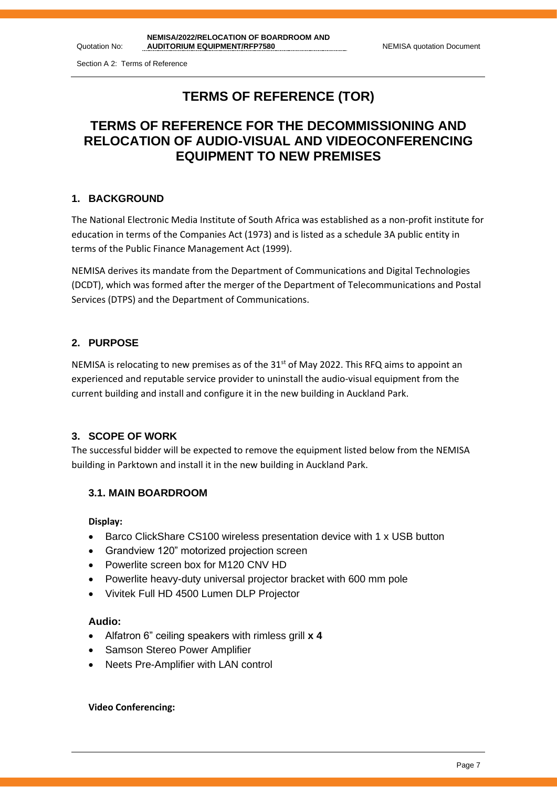Quotation No:

# **TERMS OF REFERENCE (TOR)**

# **TERMS OF REFERENCE FOR THE DECOMMISSIONING AND RELOCATION OF AUDIO-VISUAL AND VIDEOCONFERENCING EQUIPMENT TO NEW PREMISES**

### **1. BACKGROUND**

The National Electronic Media Institute of South Africa was established as a non-profit institute for education in terms of the Companies Act (1973) and is listed as a schedule 3A public entity in terms of the Public Finance Management Act (1999).

NEMISA derives its mandate from the Department of Communications and Digital Technologies (DCDT), which was formed after the merger of the Department of Telecommunications and Postal Services (DTPS) and the Department of Communications.

### **2. PURPOSE**

NEMISA is relocating to new premises as of the  $31<sup>st</sup>$  of May 2022. This RFQ aims to appoint an experienced and reputable service provider to uninstall the audio-visual equipment from the current building and install and configure it in the new building in Auckland Park.

### **3. SCOPE OF WORK**

The successful bidder will be expected to remove the equipment listed below from the NEMISA building in Parktown and install it in the new building in Auckland Park.

### **3.1. MAIN BOARDROOM**

### **Display:**

- Barco ClickShare CS100 wireless presentation device with 1 x USB button
- Grandview 120" motorized projection screen
- Powerlite screen box for M120 CNV HD
- Powerlite heavy-duty universal projector bracket with 600 mm pole
- Vivitek Full HD 4500 Lumen DLP Projector

### **Audio:**

- Alfatron 6" ceiling speakers with rimless grill **x 4**
- **Samson Stereo Power Amplifier**
- Neets Pre-Amplifier with LAN control

### **Video Conferencing:**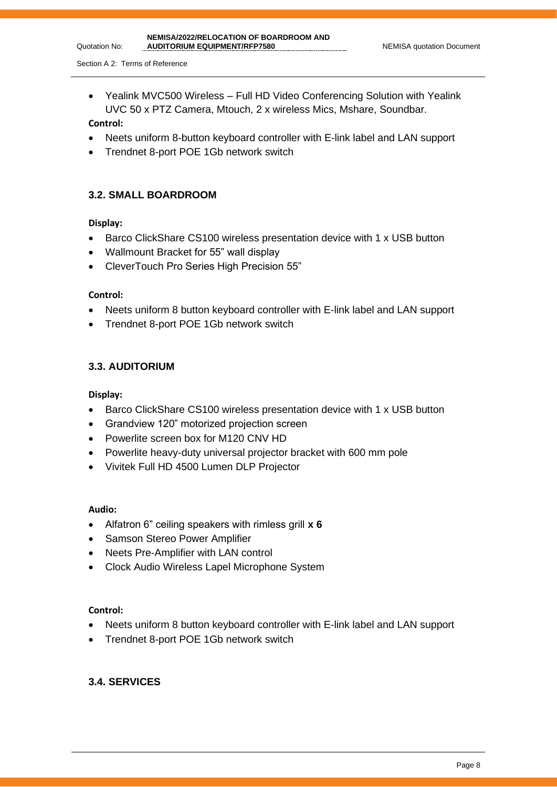• Yealink MVC500 Wireless – Full HD Video Conferencing Solution with Yealink UVC 50 x PTZ Camera, Mtouch, 2 x wireless Mics, Mshare, Soundbar.

### **Control:**

Quotation No:

- Neets uniform 8-button keyboard controller with E-link label and LAN support
- Trendnet 8-port POE 1Gb network switch

### **3.2. SMALL BOARDROOM**

### **Display:**

- Barco ClickShare CS100 wireless presentation device with 1 x USB button
- Wallmount Bracket for 55" wall display
- CleverTouch Pro Series High Precision 55"

### **Control:**

- Neets uniform 8 button keyboard controller with E-link label and LAN support
- Trendnet 8-port POE 1Gb network switch

### **3.3. AUDITORIUM**

### **Display:**

- Barco ClickShare CS100 wireless presentation device with 1 x USB button
- Grandview 120" motorized projection screen
- Powerlite screen box for M120 CNV HD
- Powerlite heavy-duty universal projector bracket with 600 mm pole
- Vivitek Full HD 4500 Lumen DLP Projector

### **Audio:**

- Alfatron 6" ceiling speakers with rimless grill **x 6**
- Samson Stereo Power Amplifier
- Neets Pre-Amplifier with LAN control
- Clock Audio Wireless Lapel Microphone System

### **Control:**

- Neets uniform 8 button keyboard controller with E-link label and LAN support
- Trendnet 8-port POE 1Gb network switch

### **3.4. SERVICES**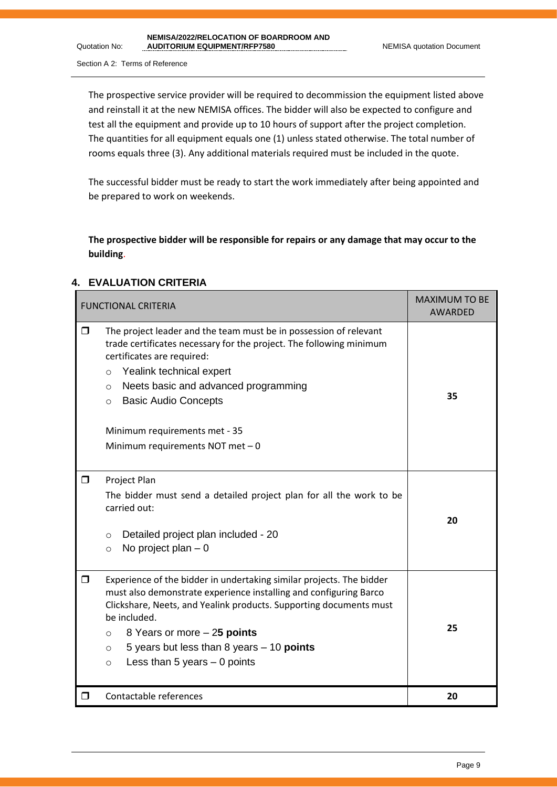Quotation No:

The prospective service provider will be required to decommission the equipment listed above and reinstall it at the new NEMISA offices. The bidder will also be expected to configure and test all the equipment and provide up to 10 hours of support after the project completion. The quantities for all equipment equals one (1) unless stated otherwise. The total number of rooms equals three (3). Any additional materials required must be included in the quote.

The successful bidder must be ready to start the work immediately after being appointed and be prepared to work on weekends.

**The prospective bidder will be responsible for repairs or any damage that may occur to the building**.

### **4. EVALUATION CRITERIA**

|        | <b>FUNCTIONAL CRITERIA</b>                                                                                                                                                                                                                                                                                                                                                      | <b>MAXIMUM TO BE</b><br>AWARDED |
|--------|---------------------------------------------------------------------------------------------------------------------------------------------------------------------------------------------------------------------------------------------------------------------------------------------------------------------------------------------------------------------------------|---------------------------------|
| $\Box$ | The project leader and the team must be in possession of relevant<br>trade certificates necessary for the project. The following minimum<br>certificates are required:<br>Yealink technical expert<br>$\circ$<br>Neets basic and advanced programming<br>$\circ$<br><b>Basic Audio Concepts</b><br>$\circ$<br>Minimum requirements met - 35<br>Minimum requirements NOT met - 0 | 35                              |
| $\Box$ | Project Plan<br>The bidder must send a detailed project plan for all the work to be<br>carried out:<br>Detailed project plan included - 20<br>$\circ$<br>No project plan $-0$<br>$\circ$                                                                                                                                                                                        | 20                              |
| $\Box$ | Experience of the bidder in undertaking similar projects. The bidder<br>must also demonstrate experience installing and configuring Barco<br>Clickshare, Neets, and Yealink products. Supporting documents must<br>be included.<br>8 Years or more - 25 points<br>$\circ$<br>5 years but less than 8 years - 10 points<br>$\circ$<br>Less than 5 years $-$ 0 points<br>$\circ$  | 25                              |
| ⊓      | Contactable references                                                                                                                                                                                                                                                                                                                                                          | 20                              |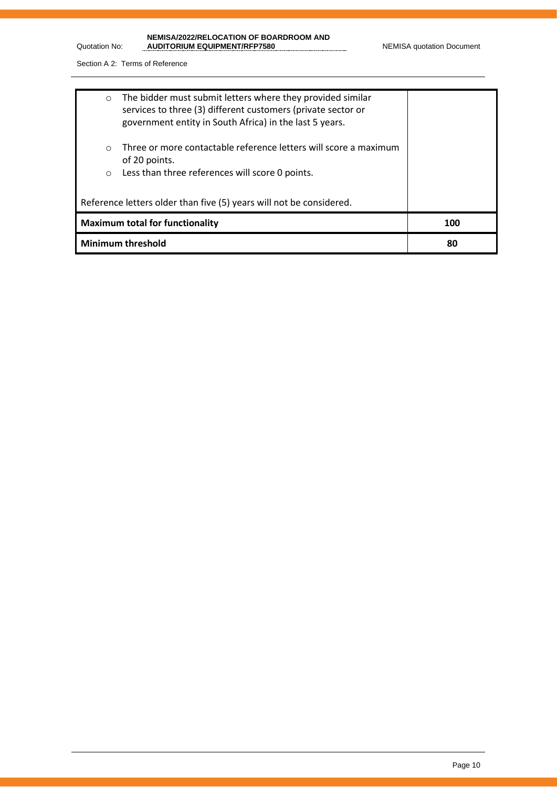| NEMISA/2022/RELOCATION OF BOARDROOM AND |
|-----------------------------------------|
| <b>AUDITORIUM EQUIPMENT/RFP7580</b>     |

Quotation No:

| $\circ$                                | The bidder must submit letters where they provided similar<br>services to three (3) different customers (private sector or<br>government entity in South Africa) in the last 5 years. |     |
|----------------------------------------|---------------------------------------------------------------------------------------------------------------------------------------------------------------------------------------|-----|
| $\Omega$<br>$\circ$                    | Three or more contactable reference letters will score a maximum<br>of 20 points.<br>Less than three references will score 0 points.                                                  |     |
|                                        | Reference letters older than five (5) years will not be considered.                                                                                                                   |     |
| <b>Maximum total for functionality</b> |                                                                                                                                                                                       | 100 |
| <b>Minimum threshold</b>               |                                                                                                                                                                                       | 80  |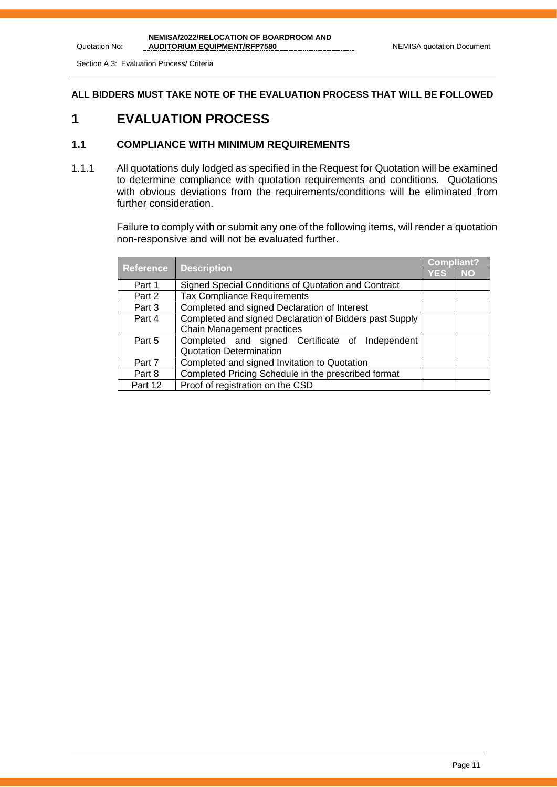Section A 3: Evaluation Process/ Criteria

Quotation No:

**ALL BIDDERS MUST TAKE NOTE OF THE EVALUATION PROCESS THAT WILL BE FOLLOWED**

# **1 EVALUATION PROCESS**

### **1.1 COMPLIANCE WITH MINIMUM REQUIREMENTS**

1.1.1 All quotations duly lodged as specified in the Request for Quotation will be examined to determine compliance with quotation requirements and conditions. Quotations with obvious deviations from the requirements/conditions will be eliminated from further consideration.

> Failure to comply with or submit any one of the following items, will render a quotation non-responsive and will not be evaluated further.

| <b>Reference</b> |                                                         |            | Compliant? |  |
|------------------|---------------------------------------------------------|------------|------------|--|
|                  | <b>Description</b>                                      | <b>YES</b> | <b>NO</b>  |  |
| Part 1           | Signed Special Conditions of Quotation and Contract     |            |            |  |
| Part 2           | <b>Tax Compliance Requirements</b>                      |            |            |  |
| Part 3           | Completed and signed Declaration of Interest            |            |            |  |
| Part 4           | Completed and signed Declaration of Bidders past Supply |            |            |  |
|                  | Chain Management practices                              |            |            |  |
| Part 5           | Completed and signed Certificate of Independent         |            |            |  |
|                  | <b>Quotation Determination</b>                          |            |            |  |
| Part 7           | Completed and signed Invitation to Quotation            |            |            |  |
| Part 8           | Completed Pricing Schedule in the prescribed format     |            |            |  |
| Part 12          | Proof of registration on the CSD                        |            |            |  |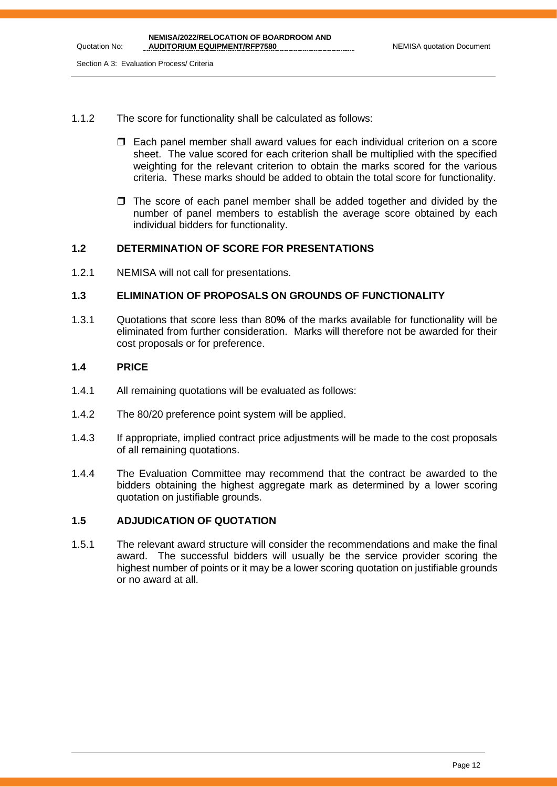- 1.1.2 The score for functionality shall be calculated as follows:
	- Each panel member shall award values for each individual criterion on a score sheet. The value scored for each criterion shall be multiplied with the specified weighting for the relevant criterion to obtain the marks scored for the various criteria. These marks should be added to obtain the total score for functionality.
	- $\Box$  The score of each panel member shall be added together and divided by the number of panel members to establish the average score obtained by each individual bidders for functionality.

### **1.2 DETERMINATION OF SCORE FOR PRESENTATIONS**

1.2.1 NEMISA will not call for presentations.

### **1.3 ELIMINATION OF PROPOSALS ON GROUNDS OF FUNCTIONALITY**

1.3.1 Quotations that score less than 80**%** of the marks available for functionality will be eliminated from further consideration. Marks will therefore not be awarded for their cost proposals or for preference.

### **1.4 PRICE**

- 1.4.1 All remaining quotations will be evaluated as follows:
- 1.4.2 The 80/20 preference point system will be applied.
- 1.4.3 If appropriate, implied contract price adjustments will be made to the cost proposals of all remaining quotations.
- 1.4.4 The Evaluation Committee may recommend that the contract be awarded to the bidders obtaining the highest aggregate mark as determined by a lower scoring quotation on justifiable grounds.

### **1.5 ADJUDICATION OF QUOTATION**

1.5.1 The relevant award structure will consider the recommendations and make the final award. The successful bidders will usually be the service provider scoring the highest number of points or it may be a lower scoring quotation on justifiable grounds or no award at all.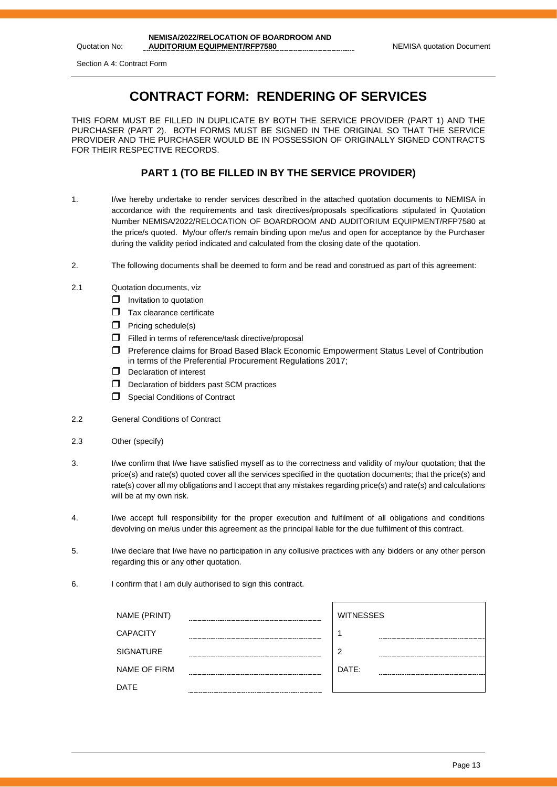Quotation No:

# **CONTRACT FORM: RENDERING OF SERVICES**

THIS FORM MUST BE FILLED IN DUPLICATE BY BOTH THE SERVICE PROVIDER (PART 1) AND THE PURCHASER (PART 2). BOTH FORMS MUST BE SIGNED IN THE ORIGINAL SO THAT THE SERVICE PROVIDER AND THE PURCHASER WOULD BE IN POSSESSION OF ORIGINALLY SIGNED CONTRACTS FOR THEIR RESPECTIVE RECORDS.

### **PART 1 (TO BE FILLED IN BY THE SERVICE PROVIDER)**

- 1. I/we hereby undertake to render services described in the attached quotation documents to NEMISA in accordance with the requirements and task directives/proposals specifications stipulated in Quotation Number NEMISA/2022/RELOCATION OF BOARDROOM AND AUDITORIUM EQUIPMENT/RFP7580 at the price/s quoted. My/our offer/s remain binding upon me/us and open for acceptance by the Purchaser during the validity period indicated and calculated from the closing date of the quotation.
- 2. The following documents shall be deemed to form and be read and construed as part of this agreement:
- 2.1 Quotation documents, viz
	- $\Box$  Invitation to quotation
	- $\Box$  Tax clearance certificate
	- $\Box$  Pricing schedule(s)
	- $\Box$  Filled in terms of reference/task directive/proposal
	- Preference claims for Broad Based Black Economic Empowerment Status Level of Contribution in terms of the Preferential Procurement Regulations 2017;
	- D Declaration of interest
	- D Declaration of bidders past SCM practices
	- Special Conditions of Contract
- 2.2 General Conditions of Contract
- 2.3 Other (specify)
- 3. I/we confirm that I/we have satisfied myself as to the correctness and validity of my/our quotation; that the price(s) and rate(s) quoted cover all the services specified in the quotation documents; that the price(s) and rate(s) cover all my obligations and I accept that any mistakes regarding price(s) and rate(s) and calculations will be at my own risk.
- 4. I/we accept full responsibility for the proper execution and fulfilment of all obligations and conditions devolving on me/us under this agreement as the principal liable for the due fulfilment of this contract.
- 5. I/we declare that I/we have no participation in any collusive practices with any bidders or any other person regarding this or any other quotation.
- 6. I confirm that I am duly authorised to sign this contract.

| NAME (PRINT)        | <b>WITNESSES</b> |
|---------------------|------------------|
| <b>CAPACITY</b>     |                  |
| <b>SIGNATURE</b>    | ◠                |
| <b>NAME OF FIRM</b> | DATE:            |
| <b>DATE</b>         |                  |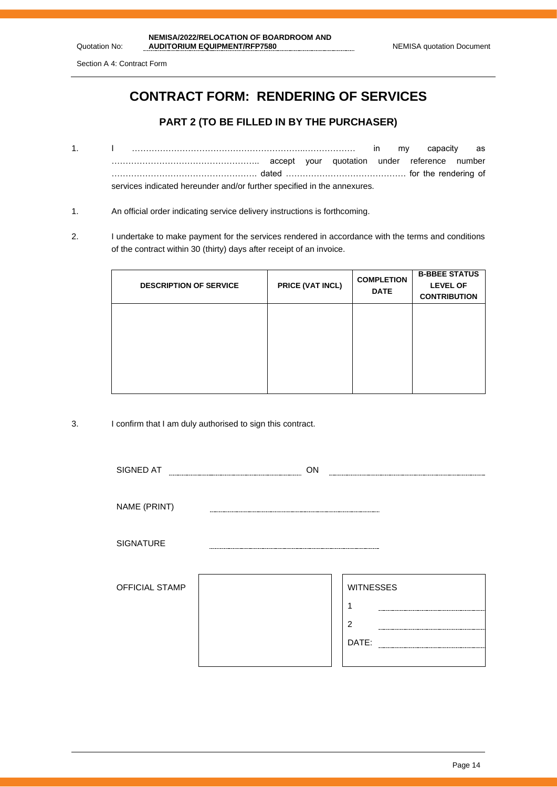Section A 4: Contract Form

Quotation No:

# **CONTRACT FORM: RENDERING OF SERVICES**

### **PART 2 (TO BE FILLED IN BY THE PURCHASER)**

- 1. I ……………………………………………………..……………… in my capacity as …………………………………………….. accept your quotation under reference number ……………………………………………. dated ……………………………………. for the rendering of services indicated hereunder and/or further specified in the annexures.
- 1. An official order indicating service delivery instructions is forthcoming.
- 2. I undertake to make payment for the services rendered in accordance with the terms and conditions of the contract within 30 (thirty) days after receipt of an invoice.

| <b>DESCRIPTION OF SERVICE</b> | PRICE (VAT INCL) | <b>COMPLETION</b><br><b>DATE</b> | <b>B-BBEE STATUS</b><br><b>LEVEL OF</b><br><b>CONTRIBUTION</b> |
|-------------------------------|------------------|----------------------------------|----------------------------------------------------------------|
|                               |                  |                                  |                                                                |
|                               |                  |                                  |                                                                |

3. I confirm that I am duly authorised to sign this contract.

| SIGNED AT             | ON |                  |  |
|-----------------------|----|------------------|--|
|                       |    |                  |  |
| NAME (PRINT)          |    |                  |  |
|                       |    |                  |  |
| <b>SIGNATURE</b>      |    |                  |  |
|                       |    |                  |  |
| <b>OFFICIAL STAMP</b> |    | <b>WITNESSES</b> |  |
|                       |    |                  |  |
|                       |    |                  |  |
|                       |    | $\overline{2}$   |  |
|                       |    | DATE:            |  |
|                       |    |                  |  |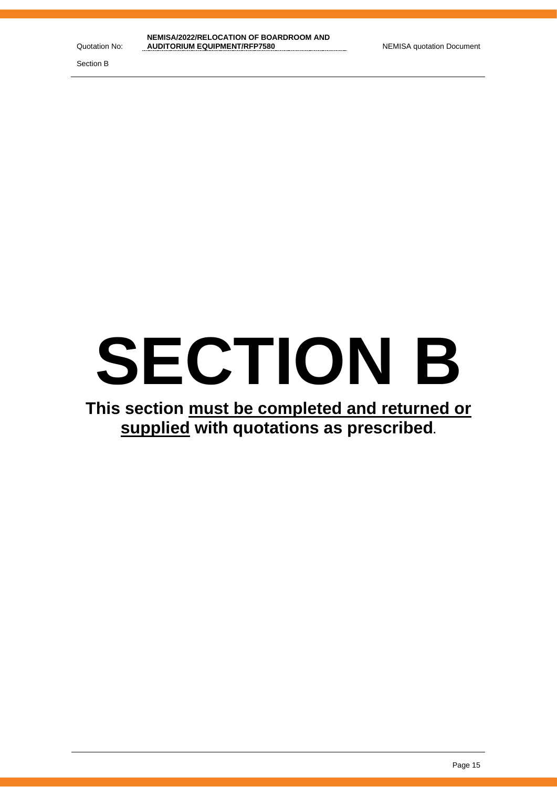Section B

# **SECTION B**

# **This section must be completed and returned or supplied with quotations as prescribed.**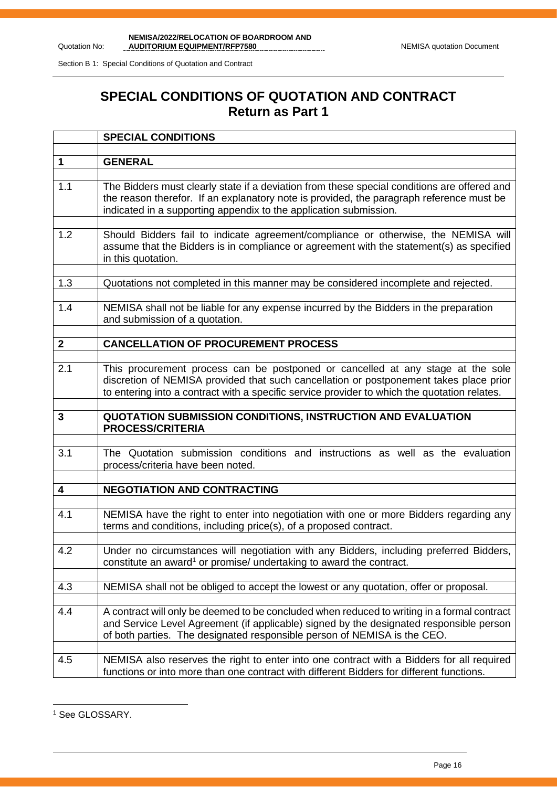Section B 1: Special Conditions of Quotation and Contract

# **SPECIAL CONDITIONS OF QUOTATION AND CONTRACT Return as Part 1**

|                         | <b>SPECIAL CONDITIONS</b>                                                                                                                                                                                                                                                 |
|-------------------------|---------------------------------------------------------------------------------------------------------------------------------------------------------------------------------------------------------------------------------------------------------------------------|
|                         |                                                                                                                                                                                                                                                                           |
| $\mathbf 1$             | <b>GENERAL</b>                                                                                                                                                                                                                                                            |
| 1.1                     | The Bidders must clearly state if a deviation from these special conditions are offered and<br>the reason therefor. If an explanatory note is provided, the paragraph reference must be<br>indicated in a supporting appendix to the application submission.              |
| 1.2                     | Should Bidders fail to indicate agreement/compliance or otherwise, the NEMISA will<br>assume that the Bidders is in compliance or agreement with the statement(s) as specified<br>in this quotation.                                                                      |
| 1.3                     | Quotations not completed in this manner may be considered incomplete and rejected.                                                                                                                                                                                        |
| 1.4                     | NEMISA shall not be liable for any expense incurred by the Bidders in the preparation<br>and submission of a quotation.                                                                                                                                                   |
| $\mathbf{2}$            | <b>CANCELLATION OF PROCUREMENT PROCESS</b>                                                                                                                                                                                                                                |
|                         |                                                                                                                                                                                                                                                                           |
| 2.1                     | This procurement process can be postponed or cancelled at any stage at the sole<br>discretion of NEMISA provided that such cancellation or postponement takes place prior<br>to entering into a contract with a specific service provider to which the quotation relates. |
|                         |                                                                                                                                                                                                                                                                           |
| 3                       | QUOTATION SUBMISSION CONDITIONS, INSTRUCTION AND EVALUATION<br><b>PROCESS/CRITERIA</b>                                                                                                                                                                                    |
|                         |                                                                                                                                                                                                                                                                           |
| 3.1                     | The Quotation submission conditions and instructions as well as the evaluation<br>process/criteria have been noted.                                                                                                                                                       |
| $\overline{\mathbf{4}}$ | <b>NEGOTIATION AND CONTRACTING</b>                                                                                                                                                                                                                                        |
|                         |                                                                                                                                                                                                                                                                           |
| 4.1                     | NEMISA have the right to enter into negotiation with one or more Bidders regarding any<br>terms and conditions, including price(s), of a proposed contract.                                                                                                               |
| 4.2                     | Under no circumstances will negotiation with any Bidders, including preferred Bidders,<br>constitute an award <sup>1</sup> or promise/ undertaking to award the contract.                                                                                                 |
| 4.3                     | NEMISA shall not be obliged to accept the lowest or any quotation, offer or proposal.                                                                                                                                                                                     |
| 4.4                     | A contract will only be deemed to be concluded when reduced to writing in a formal contract<br>and Service Level Agreement (if applicable) signed by the designated responsible person<br>of both parties. The designated responsible person of NEMISA is the CEO.        |
| 4.5                     | NEMISA also reserves the right to enter into one contract with a Bidders for all required<br>functions or into more than one contract with different Bidders for different functions.                                                                                     |

<sup>&</sup>lt;sup>1</sup> See GLOSSARY.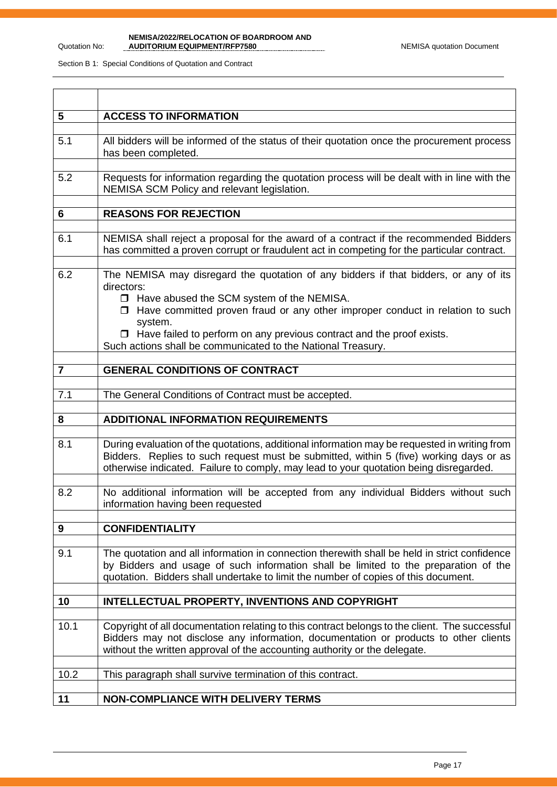| $5\phantom{1}$ | <b>ACCESS TO INFORMATION</b>                                                                                                                                                                                                                                                                                                                                                                         |
|----------------|------------------------------------------------------------------------------------------------------------------------------------------------------------------------------------------------------------------------------------------------------------------------------------------------------------------------------------------------------------------------------------------------------|
| 5.1            | All bidders will be informed of the status of their quotation once the procurement process<br>has been completed.                                                                                                                                                                                                                                                                                    |
| 5.2            | Requests for information regarding the quotation process will be dealt with in line with the<br>NEMISA SCM Policy and relevant legislation.                                                                                                                                                                                                                                                          |
| 6              | <b>REASONS FOR REJECTION</b>                                                                                                                                                                                                                                                                                                                                                                         |
| 6.1            | NEMISA shall reject a proposal for the award of a contract if the recommended Bidders<br>has committed a proven corrupt or fraudulent act in competing for the particular contract.                                                                                                                                                                                                                  |
| 6.2            | The NEMISA may disregard the quotation of any bidders if that bidders, or any of its<br>directors:<br>□ Have abused the SCM system of the NEMISA.<br>$\Box$ Have committed proven fraud or any other improper conduct in relation to such<br>system.<br>$\Box$ Have failed to perform on any previous contract and the proof exists.<br>Such actions shall be communicated to the National Treasury. |
| $\overline{7}$ | <b>GENERAL CONDITIONS OF CONTRACT</b>                                                                                                                                                                                                                                                                                                                                                                |
|                |                                                                                                                                                                                                                                                                                                                                                                                                      |
| 7.1            | The General Conditions of Contract must be accepted.                                                                                                                                                                                                                                                                                                                                                 |
| 8              | <b>ADDITIONAL INFORMATION REQUIREMENTS</b>                                                                                                                                                                                                                                                                                                                                                           |
| 8.1            | During evaluation of the quotations, additional information may be requested in writing from<br>Bidders. Replies to such request must be submitted, within 5 (five) working days or as<br>otherwise indicated. Failure to comply, may lead to your quotation being disregarded.                                                                                                                      |
| 8.2            | No additional information will be accepted from any individual Bidders without such<br>information having been requested                                                                                                                                                                                                                                                                             |
| 9              | <b>CONFIDENTIALITY</b>                                                                                                                                                                                                                                                                                                                                                                               |
| 9.1            | The quotation and all information in connection therewith shall be held in strict confidence<br>by Bidders and usage of such information shall be limited to the preparation of the<br>quotation. Bidders shall undertake to limit the number of copies of this document.                                                                                                                            |
| 10             | INTELLECTUAL PROPERTY, INVENTIONS AND COPYRIGHT                                                                                                                                                                                                                                                                                                                                                      |
| 10.1           | Copyright of all documentation relating to this contract belongs to the client. The successful<br>Bidders may not disclose any information, documentation or products to other clients<br>without the written approval of the accounting authority or the delegate.                                                                                                                                  |
| 10.2           | This paragraph shall survive termination of this contract.                                                                                                                                                                                                                                                                                                                                           |
| 11             | <b>NON-COMPLIANCE WITH DELIVERY TERMS</b>                                                                                                                                                                                                                                                                                                                                                            |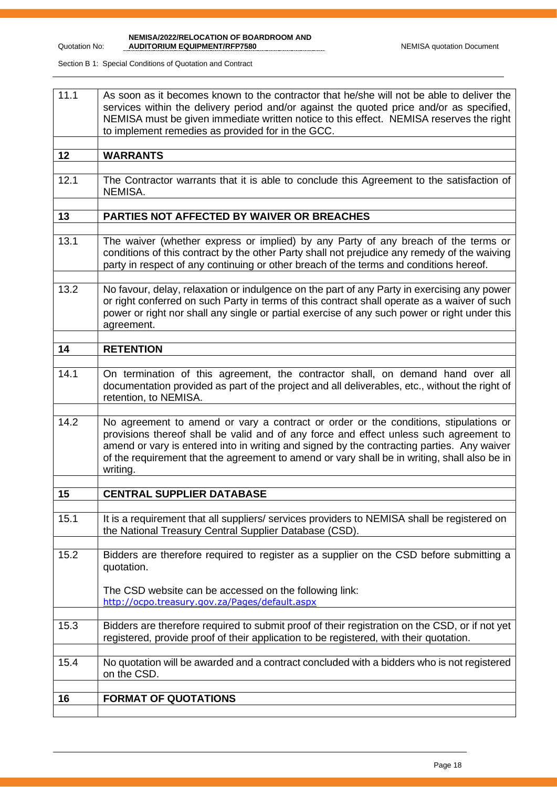Quotation No:

**NEMISA/2022/RELOCATION OF BOARDROOM AND** 

| 11.1 | As soon as it becomes known to the contractor that he/she will not be able to deliver the<br>services within the delivery period and/or against the quoted price and/or as specified,<br>NEMISA must be given immediate written notice to this effect. NEMISA reserves the right<br>to implement remedies as provided for in the GCC.                                                    |
|------|------------------------------------------------------------------------------------------------------------------------------------------------------------------------------------------------------------------------------------------------------------------------------------------------------------------------------------------------------------------------------------------|
| 12   | <b>WARRANTS</b>                                                                                                                                                                                                                                                                                                                                                                          |
| 12.1 | The Contractor warrants that it is able to conclude this Agreement to the satisfaction of<br>NEMISA.                                                                                                                                                                                                                                                                                     |
| 13   | PARTIES NOT AFFECTED BY WAIVER OR BREACHES                                                                                                                                                                                                                                                                                                                                               |
| 13.1 | The waiver (whether express or implied) by any Party of any breach of the terms or<br>conditions of this contract by the other Party shall not prejudice any remedy of the waiving<br>party in respect of any continuing or other breach of the terms and conditions hereof.                                                                                                             |
| 13.2 | No favour, delay, relaxation or indulgence on the part of any Party in exercising any power<br>or right conferred on such Party in terms of this contract shall operate as a waiver of such<br>power or right nor shall any single or partial exercise of any such power or right under this<br>agreement.                                                                               |
| 14   | <b>RETENTION</b>                                                                                                                                                                                                                                                                                                                                                                         |
| 14.1 | On termination of this agreement, the contractor shall, on demand hand over all<br>documentation provided as part of the project and all deliverables, etc., without the right of<br>retention, to NEMISA.                                                                                                                                                                               |
| 14.2 | No agreement to amend or vary a contract or order or the conditions, stipulations or<br>provisions thereof shall be valid and of any force and effect unless such agreement to<br>amend or vary is entered into in writing and signed by the contracting parties. Any waiver<br>of the requirement that the agreement to amend or vary shall be in writing, shall also be in<br>writing. |
| 15   | <b>CENTRAL SUPPLIER DATABASE</b>                                                                                                                                                                                                                                                                                                                                                         |
| 15.1 | It is a requirement that all suppliers/ services providers to NEMISA shall be registered on<br>the National Treasury Central Supplier Database (CSD).                                                                                                                                                                                                                                    |
| 15.2 | Bidders are therefore required to register as a supplier on the CSD before submitting a<br>quotation.<br>The CSD website can be accessed on the following link:<br>http://ocpo.treasury.gov.za/Pages/default.aspx                                                                                                                                                                        |
| 15.3 | Bidders are therefore required to submit proof of their registration on the CSD, or if not yet<br>registered, provide proof of their application to be registered, with their quotation.                                                                                                                                                                                                 |
| 15.4 | No quotation will be awarded and a contract concluded with a bidders who is not registered<br>on the CSD.                                                                                                                                                                                                                                                                                |
| 16   | <b>FORMAT OF QUOTATIONS</b>                                                                                                                                                                                                                                                                                                                                                              |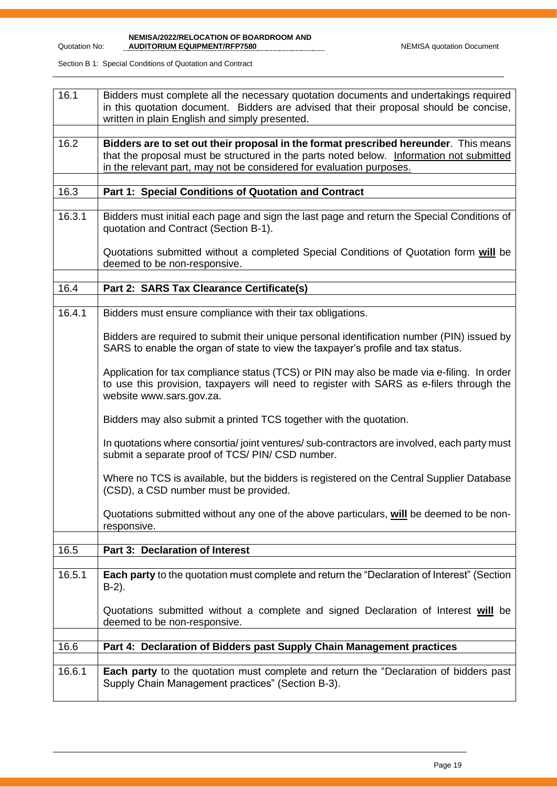**NEMISA/2022/RELOCATION OF BOARDROOM AND AUDITORIUM EQUIPMENT/RFP7580** NEMISA quotation Document

| 16.1   | Bidders must complete all the necessary quotation documents and undertakings required<br>in this quotation document. Bidders are advised that their proposal should be concise,<br>written in plain English and simply presented.                        |
|--------|----------------------------------------------------------------------------------------------------------------------------------------------------------------------------------------------------------------------------------------------------------|
| 16.2   | Bidders are to set out their proposal in the format prescribed hereunder. This means<br>that the proposal must be structured in the parts noted below. Information not submitted<br>in the relevant part, may not be considered for evaluation purposes. |
| 16.3   | Part 1: Special Conditions of Quotation and Contract                                                                                                                                                                                                     |
| 16.3.1 | Bidders must initial each page and sign the last page and return the Special Conditions of<br>quotation and Contract (Section B-1).                                                                                                                      |
|        | Quotations submitted without a completed Special Conditions of Quotation form will be<br>deemed to be non-responsive.                                                                                                                                    |
| 16.4   | Part 2: SARS Tax Clearance Certificate(s)                                                                                                                                                                                                                |
| 16.4.1 | Bidders must ensure compliance with their tax obligations.                                                                                                                                                                                               |
|        | Bidders are required to submit their unique personal identification number (PIN) issued by<br>SARS to enable the organ of state to view the taxpayer's profile and tax status.                                                                           |
|        | Application for tax compliance status (TCS) or PIN may also be made via e-filing. In order<br>to use this provision, taxpayers will need to register with SARS as e-filers through the<br>website www.sars.gov.za.                                       |
|        | Bidders may also submit a printed TCS together with the quotation.                                                                                                                                                                                       |
|        | In quotations where consortia/joint ventures/sub-contractors are involved, each party must<br>submit a separate proof of TCS/ PIN/ CSD number.                                                                                                           |
|        | Where no TCS is available, but the bidders is registered on the Central Supplier Database<br>(CSD), a CSD number must be provided.                                                                                                                       |
|        | Quotations submitted without any one of the above particulars, will be deemed to be non-<br>responsive.                                                                                                                                                  |
| 16.5   | <b>Part 3: Declaration of Interest</b>                                                                                                                                                                                                                   |
| 16.5.1 | Each party to the quotation must complete and return the "Declaration of Interest" (Section<br>$B-2$ ).                                                                                                                                                  |
|        | Quotations submitted without a complete and signed Declaration of Interest will be<br>deemed to be non-responsive.                                                                                                                                       |
| 16.6   | Part 4: Declaration of Bidders past Supply Chain Management practices                                                                                                                                                                                    |
| 16.6.1 | Each party to the quotation must complete and return the "Declaration of bidders past<br>Supply Chain Management practices" (Section B-3).                                                                                                               |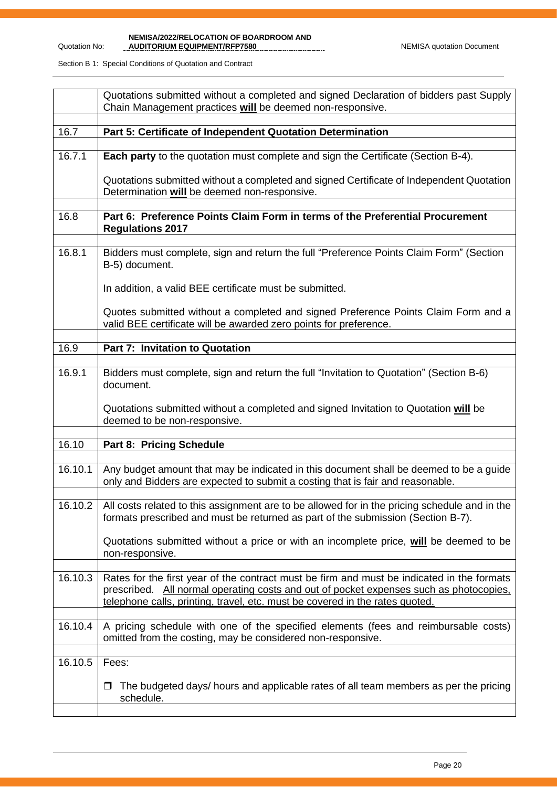|         | Quotations submitted without a completed and signed Declaration of bidders past Supply<br>Chain Management practices will be deemed non-responsive.                                                                                                                  |
|---------|----------------------------------------------------------------------------------------------------------------------------------------------------------------------------------------------------------------------------------------------------------------------|
| 16.7    | Part 5: Certificate of Independent Quotation Determination                                                                                                                                                                                                           |
| 16.7.1  | <b>Each party</b> to the quotation must complete and sign the Certificate (Section B-4).                                                                                                                                                                             |
|         | Quotations submitted without a completed and signed Certificate of Independent Quotation<br>Determination will be deemed non-responsive.                                                                                                                             |
| 16.8    | Part 6: Preference Points Claim Form in terms of the Preferential Procurement<br><b>Regulations 2017</b>                                                                                                                                                             |
| 16.8.1  | Bidders must complete, sign and return the full "Preference Points Claim Form" (Section<br>B-5) document.                                                                                                                                                            |
|         | In addition, a valid BEE certificate must be submitted.                                                                                                                                                                                                              |
|         | Quotes submitted without a completed and signed Preference Points Claim Form and a<br>valid BEE certificate will be awarded zero points for preference.                                                                                                              |
| 16.9    | <b>Part 7: Invitation to Quotation</b>                                                                                                                                                                                                                               |
| 16.9.1  | Bidders must complete, sign and return the full "Invitation to Quotation" (Section B-6)<br>document.                                                                                                                                                                 |
|         | Quotations submitted without a completed and signed Invitation to Quotation will be<br>deemed to be non-responsive.                                                                                                                                                  |
| 16.10   | Part 8: Pricing Schedule                                                                                                                                                                                                                                             |
| 16.10.1 | Any budget amount that may be indicated in this document shall be deemed to be a guide<br>only and Bidders are expected to submit a costing that is fair and reasonable.                                                                                             |
| 16.10.2 | All costs related to this assignment are to be allowed for in the pricing schedule and in the<br>formats prescribed and must be returned as part of the submission (Section B-7).                                                                                    |
|         | Quotations submitted without a price or with an incomplete price, will be deemed to be<br>non-responsive.                                                                                                                                                            |
| 16.10.3 | Rates for the first year of the contract must be firm and must be indicated in the formats<br>prescribed. All normal operating costs and out of pocket expenses such as photocopies,<br>telephone calls, printing, travel, etc. must be covered in the rates quoted. |
| 16.10.4 | A pricing schedule with one of the specified elements (fees and reimbursable costs)<br>omitted from the costing, may be considered non-responsive.                                                                                                                   |
| 16.10.5 | Fees:                                                                                                                                                                                                                                                                |
|         | The budgeted days/ hours and applicable rates of all team members as per the pricing<br>$\Box$<br>schedule.                                                                                                                                                          |
|         |                                                                                                                                                                                                                                                                      |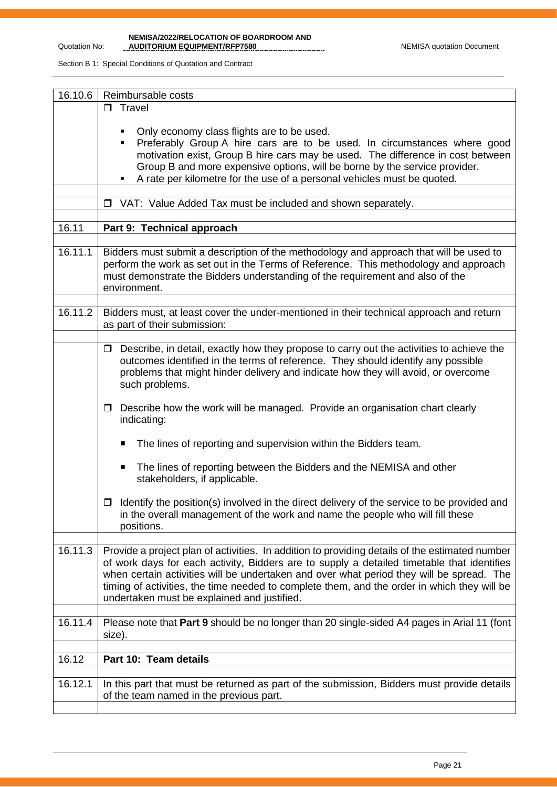**NEMISA/2022/RELOCATION OF BOARDROOM AND AUDITORIUM EQUIPMENT/RFP7580** NEMISA quotation Document

| 16.10.6 | Reimbursable costs                                                                                                                                                                                                                                                                                                                                                                                                                     |  |  |  |
|---------|----------------------------------------------------------------------------------------------------------------------------------------------------------------------------------------------------------------------------------------------------------------------------------------------------------------------------------------------------------------------------------------------------------------------------------------|--|--|--|
|         | $\Box$ Travel                                                                                                                                                                                                                                                                                                                                                                                                                          |  |  |  |
|         | Only economy class flights are to be used.<br>Preferably Group A hire cars are to be used. In circumstances where good<br>٠<br>motivation exist, Group B hire cars may be used. The difference in cost between<br>Group B and more expensive options, will be borne by the service provider.<br>A rate per kilometre for the use of a personal vehicles must be quoted.<br>٠                                                           |  |  |  |
|         | VAT: Value Added Tax must be included and shown separately.<br>$\Box$                                                                                                                                                                                                                                                                                                                                                                  |  |  |  |
|         |                                                                                                                                                                                                                                                                                                                                                                                                                                        |  |  |  |
| 16.11   | Part 9: Technical approach                                                                                                                                                                                                                                                                                                                                                                                                             |  |  |  |
|         |                                                                                                                                                                                                                                                                                                                                                                                                                                        |  |  |  |
| 16.11.1 | Bidders must submit a description of the methodology and approach that will be used to<br>perform the work as set out in the Terms of Reference. This methodology and approach<br>must demonstrate the Bidders understanding of the requirement and also of the<br>environment.                                                                                                                                                        |  |  |  |
|         |                                                                                                                                                                                                                                                                                                                                                                                                                                        |  |  |  |
| 16.11.2 | Bidders must, at least cover the under-mentioned in their technical approach and return<br>as part of their submission:                                                                                                                                                                                                                                                                                                                |  |  |  |
|         |                                                                                                                                                                                                                                                                                                                                                                                                                                        |  |  |  |
|         | Describe, in detail, exactly how they propose to carry out the activities to achieve the<br>$\Box$<br>outcomes identified in the terms of reference. They should identify any possible<br>problems that might hinder delivery and indicate how they will avoid, or overcome<br>such problems.                                                                                                                                          |  |  |  |
|         | Describe how the work will be managed. Provide an organisation chart clearly<br>□<br>indicating:                                                                                                                                                                                                                                                                                                                                       |  |  |  |
|         | The lines of reporting and supervision within the Bidders team.<br>п                                                                                                                                                                                                                                                                                                                                                                   |  |  |  |
|         | The lines of reporting between the Bidders and the NEMISA and other<br>п<br>stakeholders, if applicable.                                                                                                                                                                                                                                                                                                                               |  |  |  |
|         | Identify the position(s) involved in the direct delivery of the service to be provided and<br>0<br>in the overall management of the work and name the people who will fill these<br>positions.                                                                                                                                                                                                                                         |  |  |  |
| 16.11.3 | Provide a project plan of activities. In addition to providing details of the estimated number<br>of work days for each activity, Bidders are to supply a detailed timetable that identifies<br>when certain activities will be undertaken and over what period they will be spread. The<br>timing of activities, the time needed to complete them, and the order in which they will be<br>undertaken must be explained and justified. |  |  |  |
| 16.11.4 | Please note that Part 9 should be no longer than 20 single-sided A4 pages in Arial 11 (font<br>size).                                                                                                                                                                                                                                                                                                                                  |  |  |  |
| 16.12   | Part 10: Team details                                                                                                                                                                                                                                                                                                                                                                                                                  |  |  |  |
|         |                                                                                                                                                                                                                                                                                                                                                                                                                                        |  |  |  |
| 16.12.1 | In this part that must be returned as part of the submission, Bidders must provide details<br>of the team named in the previous part.                                                                                                                                                                                                                                                                                                  |  |  |  |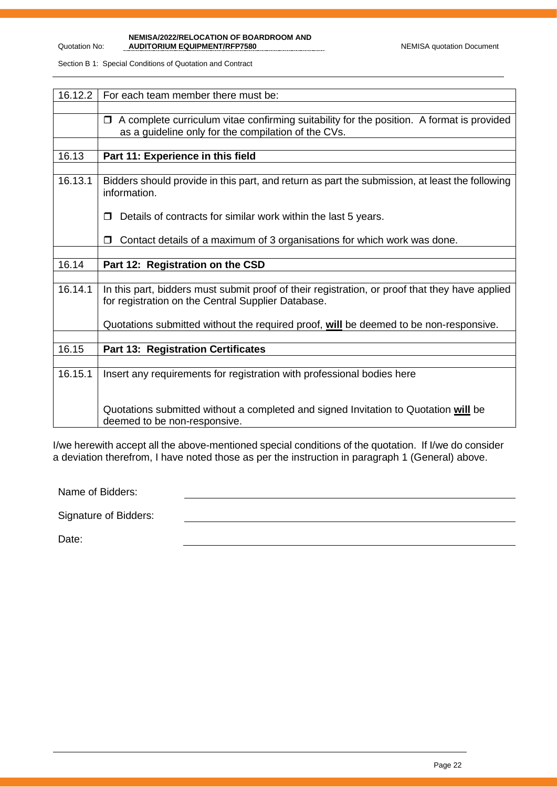**NEMISA/2022/RELOCATION OF BOARDROOM AND**  AUDITORIUM EQUIPMENT/RFP7580 NEMISA quotation Document

Section B 1: Special Conditions of Quotation and Contract

| 16.12.2 | For each team member there must be:                                                                                                                        |
|---------|------------------------------------------------------------------------------------------------------------------------------------------------------------|
|         |                                                                                                                                                            |
|         | A complete curriculum vitae confirming suitability for the position. A format is provided<br>$\Box$<br>as a guideline only for the compilation of the CVs. |
|         |                                                                                                                                                            |
| 16.13   | Part 11: Experience in this field                                                                                                                          |
|         |                                                                                                                                                            |
| 16.13.1 | Bidders should provide in this part, and return as part the submission, at least the following<br>information.                                             |
|         | Details of contracts for similar work within the last 5 years.                                                                                             |
|         | Contact details of a maximum of 3 organisations for which work was done.                                                                                   |
|         |                                                                                                                                                            |
| 16.14   | Part 12: Registration on the CSD                                                                                                                           |
|         |                                                                                                                                                            |
| 16.14.1 | In this part, bidders must submit proof of their registration, or proof that they have applied<br>for registration on the Central Supplier Database.       |
|         | Quotations submitted without the required proof, will be deemed to be non-responsive.                                                                      |
|         |                                                                                                                                                            |
| 16.15   | <b>Part 13: Registration Certificates</b>                                                                                                                  |
|         |                                                                                                                                                            |
| 16.15.1 | Insert any requirements for registration with professional bodies here                                                                                     |
|         | Quotations submitted without a completed and signed Invitation to Quotation will be<br>deemed to be non-responsive.                                        |

I/we herewith accept all the above-mentioned special conditions of the quotation. If I/we do consider a deviation therefrom, I have noted those as per the instruction in paragraph 1 (General) above.

Name of Bidders:

Signature of Bidders:

Date: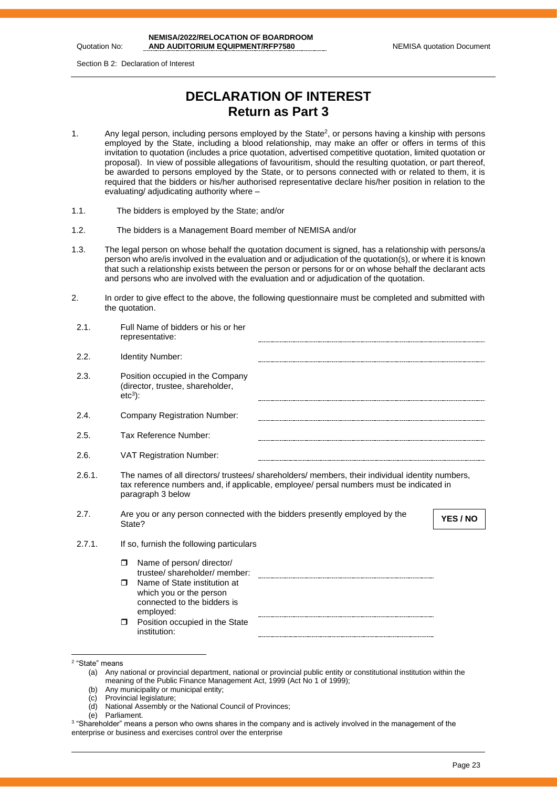Quotation No:

Section B 2: Declaration of Interest

# **DECLARATION OF INTEREST Return as Part 3**

- 1. Any legal person, including persons employed by the State<sup>2</sup>, or persons having a kinship with persons employed by the State, including a blood relationship, may make an offer or offers in terms of this invitation to quotation (includes a price quotation, advertised competitive quotation, limited quotation or proposal). In view of possible allegations of favouritism, should the resulting quotation, or part thereof, be awarded to persons employed by the State, or to persons connected with or related to them, it is required that the bidders or his/her authorised representative declare his/her position in relation to the evaluating/ adjudicating authority where –
- 1.1. The bidders is employed by the State; and/or
- 1.2. The bidders is a Management Board member of NEMISA and/or
- 1.3. The legal person on whose behalf the quotation document is signed, has a relationship with persons/a person who are/is involved in the evaluation and or adjudication of the quotation(s), or where it is known that such a relationship exists between the person or persons for or on whose behalf the declarant acts and persons who are involved with the evaluation and or adjudication of the quotation.
- 2. In order to give effect to the above, the following questionnaire must be completed and submitted with the quotation.

| 2.1.   | Full Name of bidders or his or her<br>representative:                                                                                                                                                           |
|--------|-----------------------------------------------------------------------------------------------------------------------------------------------------------------------------------------------------------------|
| 2.2.   | <b>Identity Number:</b>                                                                                                                                                                                         |
| 2.3.   | Position occupied in the Company<br>(director, trustee, shareholder,<br>$etc3$ :                                                                                                                                |
| 2.4.   | <b>Company Registration Number:</b>                                                                                                                                                                             |
| 2.5.   | Tax Reference Number:                                                                                                                                                                                           |
| 2.6.   | <b>VAT Registration Number:</b>                                                                                                                                                                                 |
| 2.6.1. | The names of all directors/ trustees/ shareholders/ members, their individual identity numbers,<br>tax reference numbers and, if applicable, employee/ persal numbers must be indicated in<br>paragraph 3 below |
| 2.7.   | Are you or any person connected with the bidders presently employed by the<br>YES / NO<br>State?                                                                                                                |
| 2.7.1. | If so, furnish the following particulars                                                                                                                                                                        |
|        | Name of person/ director/<br>$\Box$                                                                                                                                                                             |
|        | trustee/shareholder/member:<br>Name of State institution at<br>$\Box$<br>which you or the person<br>connected to the bidders is<br>employed:                                                                    |
|        | Position occupied in the State<br>$\Box$<br>institution:                                                                                                                                                        |

- (c) Provincial legislature;
- (d) National Assembly or the National Council of Provinces;
- (e) Parliament.

<sup>2</sup> "State" means

<sup>(</sup>a) Any national or provincial department, national or provincial public entity or constitutional institution within the meaning of the Public Finance Management Act, 1999 (Act No 1 of 1999);

<sup>(</sup>b) Any municipality or municipal entity;

 $^3$  "Shareholder" means a person who owns shares in the company and is actively involved in the management of the enterprise or business and exercises control over the enterprise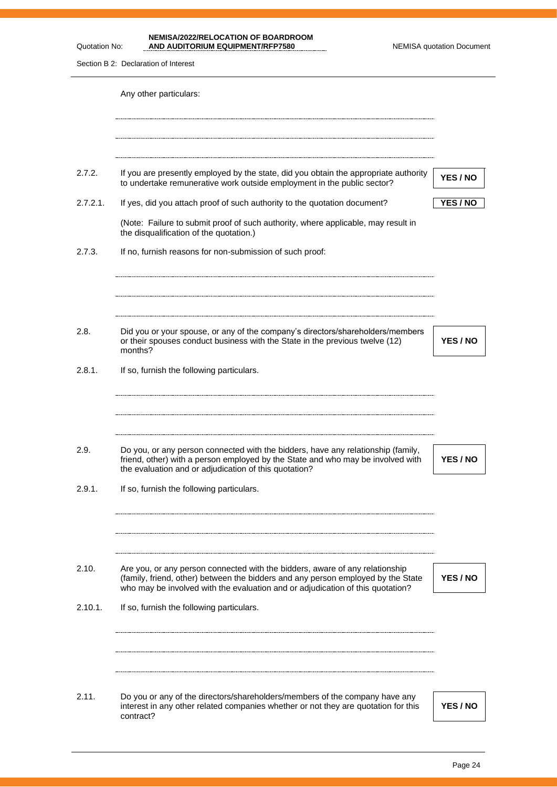**NEMISA/2022/RELOCATION OF BOARDROOM AND AUDITORIUM EQUIPMENT/RFP7580** NEMISA quotation Document

Section B 2: Declaration of Interest

Quotation No:

|                | Any other particulars:                                                                                                                                                                                                                             |          |
|----------------|----------------------------------------------------------------------------------------------------------------------------------------------------------------------------------------------------------------------------------------------------|----------|
|                |                                                                                                                                                                                                                                                    |          |
| 2.7.2.         | If you are presently employed by the state, did you obtain the appropriate authority<br>to undertake remunerative work outside employment in the public sector?                                                                                    | YES / NO |
| 2.7.2.1.       | If yes, did you attach proof of such authority to the quotation document?                                                                                                                                                                          | YES / NO |
|                | (Note: Failure to submit proof of such authority, where applicable, may result in<br>the disqualification of the quotation.)                                                                                                                       |          |
| 2.7.3.         | If no, furnish reasons for non-submission of such proof:                                                                                                                                                                                           |          |
| 2.8.           | Did you or your spouse, or any of the company's directors/shareholders/members<br>or their spouses conduct business with the State in the previous twelve (12)                                                                                     | YES / NO |
| 2.8.1.         | months?<br>If so, furnish the following particulars.                                                                                                                                                                                               |          |
| 2.9.<br>2.9.1. | Do you, or any person connected with the bidders, have any relationship (family,<br>friend, other) with a person employed by the State and who may be involved with<br>the evaluation and or adjudication of this quotation?                       | YES / NO |
|                | If so, furnish the following particulars.                                                                                                                                                                                                          |          |
| 2.10.          | Are you, or any person connected with the bidders, aware of any relationship<br>(family, friend, other) between the bidders and any person employed by the State<br>who may be involved with the evaluation and or adjudication of this quotation? | YES / NO |
| 2.10.1.        | If so, furnish the following particulars.                                                                                                                                                                                                          |          |
|                |                                                                                                                                                                                                                                                    |          |
| 2.11.          | Do you or any of the directors/shareholders/members of the company have any<br>interest in any other related companies whether or not they are quotation for this<br>contract?                                                                     | YES / NO |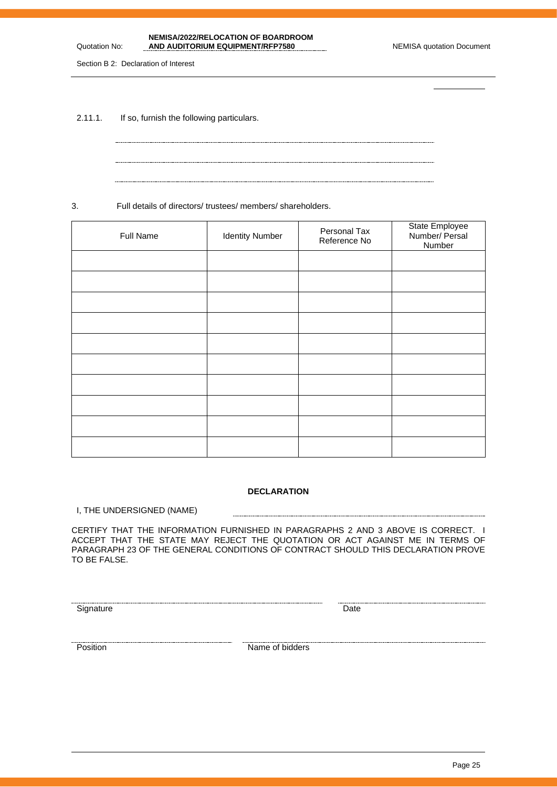Page 25

| NEMISA/2022/RELOCATION OF BOARDROOM |                                  |
|-------------------------------------|----------------------------------|
| AND AUDITORIUM EQUIPMENT/RFP7580    | <b>NEMISA quotation Document</b> |

Section B 2: Declaration of Interest

Quotation No:

2.11.1. If so, furnish the following particulars.

3. Full details of directors/ trustees/ members/ shareholders.

| Full Name | <b>Identity Number</b> | Personal Tax<br>Reference No | State Employee<br>Number/ Persal<br>Number |
|-----------|------------------------|------------------------------|--------------------------------------------|
|           |                        |                              |                                            |
|           |                        |                              |                                            |
|           |                        |                              |                                            |
|           |                        |                              |                                            |
|           |                        |                              |                                            |
|           |                        |                              |                                            |
|           |                        |                              |                                            |
|           |                        |                              |                                            |
|           |                        |                              |                                            |
|           |                        |                              |                                            |

### **DECLARATION**

-----------------------

I, THE UNDERSIGNED (NAME)

CERTIFY THAT THE INFORMATION FURNISHED IN PARAGRAPHS 2 AND 3 ABOVE IS CORRECT. I ACCEPT THAT THE STATE MAY REJECT THE QUOTATION OR ACT AGAINST ME IN TERMS OF PARAGRAPH 23 OF THE GENERAL CONDITIONS OF CONTRACT SHOULD THIS DECLARATION PROVE TO BE FALSE.

Signature Date Date

Position **Name of bidders**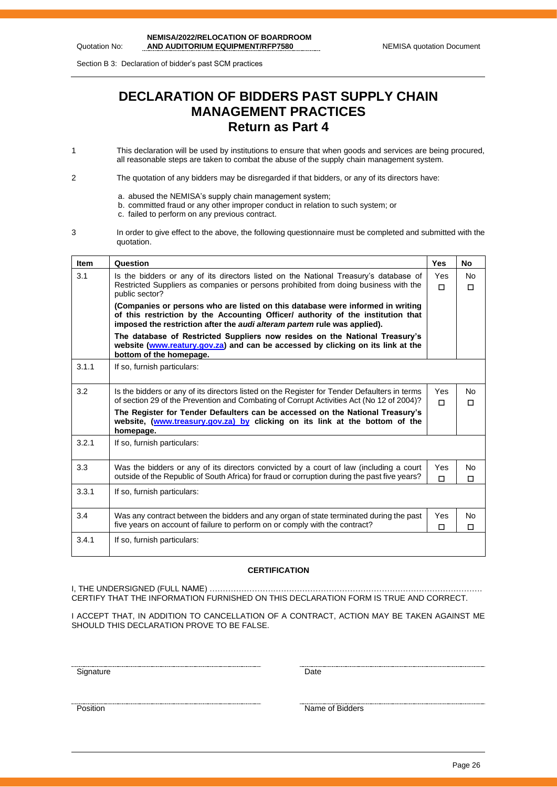Section B 3: Declaration of bidder's past SCM practices

Quotation No:

# **DECLARATION OF BIDDERS PAST SUPPLY CHAIN MANAGEMENT PRACTICES Return as Part 4**

- 1 This declaration will be used by institutions to ensure that when goods and services are being procured, all reasonable steps are taken to combat the abuse of the supply chain management system.
- 2 The quotation of any bidders may be disregarded if that bidders, or any of its directors have:
	- a. abused the NEMISA's supply chain management system;
	- b. committed fraud or any other improper conduct in relation to such system; or
	- c. failed to perform on any previous contract.
- 3 In order to give effect to the above, the following questionnaire must be completed and submitted with the quotation.

| <b>Item</b> | Question                                                                                                                                                                                                                                       | <b>Yes</b>    | No                  |
|-------------|------------------------------------------------------------------------------------------------------------------------------------------------------------------------------------------------------------------------------------------------|---------------|---------------------|
| 3.1         | Is the bidders or any of its directors listed on the National Treasury's database of<br>Restricted Suppliers as companies or persons prohibited from doing business with the<br>public sector?                                                 | Yes<br>$\Box$ | <b>No</b><br>п      |
|             | (Companies or persons who are listed on this database were informed in writing<br>of this restriction by the Accounting Officer/ authority of the institution that<br>imposed the restriction after the audi alteram partem rule was applied). |               |                     |
|             | The database of Restricted Suppliers now resides on the National Treasury's<br>website (www.reatury.gov.za) and can be accessed by clicking on its link at the<br>bottom of the homepage.                                                      |               |                     |
| 3.1.1       | If so, furnish particulars:                                                                                                                                                                                                                    |               |                     |
| 3.2         | Is the bidders or any of its directors listed on the Register for Tender Defaulters in terms<br>of section 29 of the Prevention and Combating of Corrupt Activities Act (No 12 of 2004)?                                                       | Yes<br>п      | No.<br>П            |
|             | The Register for Tender Defaulters can be accessed on the National Treasury's<br>website, (www.treasury.gov.za) by clicking on its link at the bottom of the<br>homepage.                                                                      |               |                     |
| 3.2.1       | If so, furnish particulars:                                                                                                                                                                                                                    |               |                     |
| 3.3         | Was the bidders or any of its directors convicted by a court of law (including a court<br>outside of the Republic of South Africa) for fraud or corruption during the past five years?                                                         | Yes<br>П      | <b>No</b><br>П      |
| 3.3.1       | If so, furnish particulars:                                                                                                                                                                                                                    |               |                     |
| 3.4         | Was any contract between the bidders and any organ of state terminated during the past<br>five years on account of failure to perform on or comply with the contract?                                                                          | Yes<br>$\Box$ | <b>No</b><br>$\Box$ |
| 3.4.1       | If so, furnish particulars:                                                                                                                                                                                                                    |               |                     |

### **CERTIFICATION**

I, THE UNDERSIGNED (FULL NAME) …………………………………………………………………………………………. CERTIFY THAT THE INFORMATION FURNISHED ON THIS DECLARATION FORM IS TRUE AND CORRECT.

I ACCEPT THAT, IN ADDITION TO CANCELLATION OF A CONTRACT, ACTION MAY BE TAKEN AGAINST ME SHOULD THIS DECLARATION PROVE TO BE FALSE.

<u>Signature Date</u>

<u>The contract of Bidders</u><br>Position Name of Bidders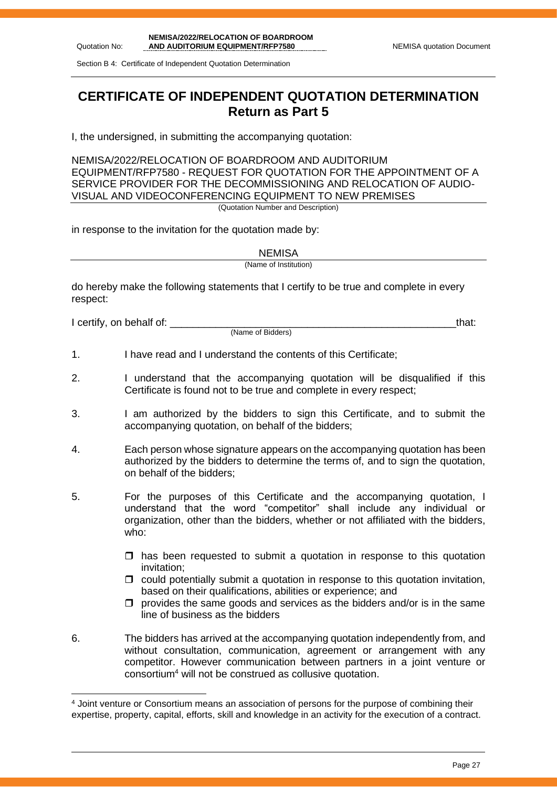Section B 4: Certificate of Independent Quotation Determination

# **CERTIFICATE OF INDEPENDENT QUOTATION DETERMINATION Return as Part 5**

I, the undersigned, in submitting the accompanying quotation:

NEMISA/2022/RELOCATION OF BOARDROOM AND AUDITORIUM EQUIPMENT/RFP7580 - REQUEST FOR QUOTATION FOR THE APPOINTMENT OF A SERVICE PROVIDER FOR THE DECOMMISSIONING AND RELOCATION OF AUDIO-VISUAL AND VIDEOCONFERENCING EQUIPMENT TO NEW PREMISES (Quotation Number and Description)

in response to the invitation for the quotation made by:

**NEMISA** 

(Name of Institution)

do hereby make the following statements that I certify to be true and complete in every respect:

I certify, on behalf of: the state of the state of the state of the state of the state of the state of the stat

(Name of Bidders)

1. I have read and I understand the contents of this Certificate;

- 2. I understand that the accompanying quotation will be disqualified if this Certificate is found not to be true and complete in every respect;
- 3. I am authorized by the bidders to sign this Certificate, and to submit the accompanying quotation, on behalf of the bidders;
- 4. Each person whose signature appears on the accompanying quotation has been authorized by the bidders to determine the terms of, and to sign the quotation, on behalf of the bidders;
- 5. For the purposes of this Certificate and the accompanying quotation, I understand that the word "competitor" shall include any individual or organization, other than the bidders, whether or not affiliated with the bidders, who:
	- $\Box$  has been requested to submit a quotation in response to this quotation invitation;
	- $\Box$  could potentially submit a quotation in response to this quotation invitation, based on their qualifications, abilities or experience; and
	- $\Box$  provides the same goods and services as the bidders and/or is in the same line of business as the bidders
- 6. The bidders has arrived at the accompanying quotation independently from, and without consultation, communication, agreement or arrangement with any competitor. However communication between partners in a joint venture or consortium<sup>4</sup> will not be construed as collusive quotation.

<sup>4</sup> Joint venture or Consortium means an association of persons for the purpose of combining their expertise, property, capital, efforts, skill and knowledge in an activity for the execution of a contract.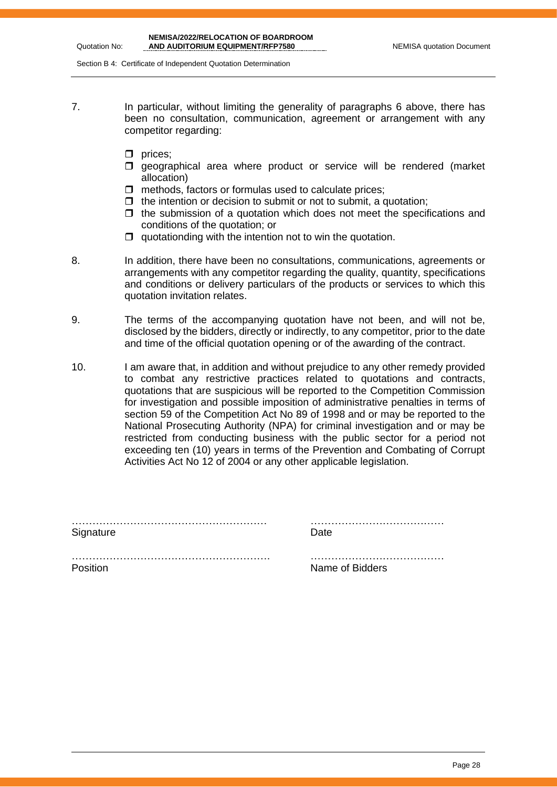Section B 4: Certificate of Independent Quotation Determination

- 7. In particular, without limiting the generality of paragraphs 6 above, there has been no consultation, communication, agreement or arrangement with any competitor regarding:
	- $\Box$  prices;
	- $\square$  geographical area where product or service will be rendered (market allocation)
	- $\Box$  methods, factors or formulas used to calculate prices;
	- $\Box$  the intention or decision to submit or not to submit, a quotation:
	- $\Box$  the submission of a quotation which does not meet the specifications and conditions of the quotation; or
	- $\Box$  quotationding with the intention not to win the quotation.
- 8. In addition, there have been no consultations, communications, agreements or arrangements with any competitor regarding the quality, quantity, specifications and conditions or delivery particulars of the products or services to which this quotation invitation relates.
- 9. The terms of the accompanying quotation have not been, and will not be, disclosed by the bidders, directly or indirectly, to any competitor, prior to the date and time of the official quotation opening or of the awarding of the contract.
- 10. I am aware that, in addition and without prejudice to any other remedy provided to combat any restrictive practices related to quotations and contracts, quotations that are suspicious will be reported to the Competition Commission for investigation and possible imposition of administrative penalties in terms of section 59 of the Competition Act No 89 of 1998 and or may be reported to the National Prosecuting Authority (NPA) for criminal investigation and or may be restricted from conducting business with the public sector for a period not exceeding ten (10) years in terms of the Prevention and Combating of Corrupt Activities Act No 12 of 2004 or any other applicable legislation.

|           | . |
|-----------|---|
| Signature |   |

………………………………………………… …………………………………

…………………………………………………. ………………………………… Position **Name of Bidders**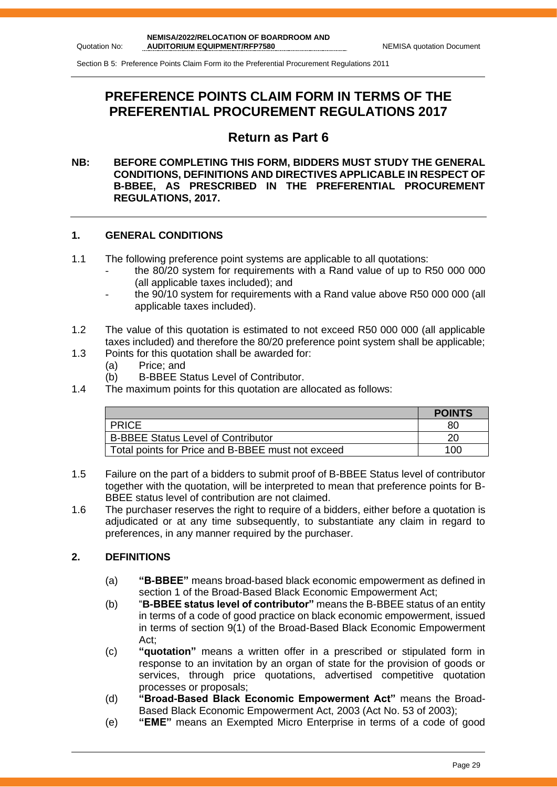Section B 5: Preference Points Claim Form ito the Preferential Procurement Regulations 2011

# **PREFERENCE POINTS CLAIM FORM IN TERMS OF THE PREFERENTIAL PROCUREMENT REGULATIONS 2017**

# **Return as Part 6**

### **NB: BEFORE COMPLETING THIS FORM, BIDDERS MUST STUDY THE GENERAL CONDITIONS, DEFINITIONS AND DIRECTIVES APPLICABLE IN RESPECT OF B-BBEE, AS PRESCRIBED IN THE PREFERENTIAL PROCUREMENT REGULATIONS, 2017.**

### **1. GENERAL CONDITIONS**

- 1.1 The following preference point systems are applicable to all quotations:
	- the 80/20 system for requirements with a Rand value of up to R50 000 000 (all applicable taxes included); and
	- the 90/10 system for requirements with a Rand value above R50 000 000 (all applicable taxes included).
- 1.2 The value of this quotation is estimated to not exceed R50 000 000 (all applicable taxes included) and therefore the 80/20 preference point system shall be applicable;
- 1.3 Points for this quotation shall be awarded for:
	- (a) Price; and
	- (b) B-BBEE Status Level of Contributor.
- 1.4 The maximum points for this quotation are allocated as follows:

|                                                   | <b>POINTS</b> |
|---------------------------------------------------|---------------|
| <b>PRICE</b>                                      | 80            |
| <b>B-BBEE Status Level of Contributor</b>         | 20            |
| Total points for Price and B-BBEE must not exceed | 100           |

- 1.5 Failure on the part of a bidders to submit proof of B-BBEE Status level of contributor together with the quotation, will be interpreted to mean that preference points for B-BBEE status level of contribution are not claimed.
- 1.6 The purchaser reserves the right to require of a bidders, either before a quotation is adjudicated or at any time subsequently, to substantiate any claim in regard to preferences, in any manner required by the purchaser.

### **2. DEFINITIONS**

- (a) **"B-BBEE"** means broad-based black economic empowerment as defined in section 1 of the Broad-Based Black Economic Empowerment Act;
- (b) "**B-BBEE status level of contributor"** means the B-BBEE status of an entity in terms of a code of good practice on black economic empowerment, issued in terms of section 9(1) of the Broad-Based Black Economic Empowerment Act;
- (c) **"quotation"** means a written offer in a prescribed or stipulated form in response to an invitation by an organ of state for the provision of goods or services, through price quotations, advertised competitive quotation processes or proposals;
- (d) **"Broad-Based Black Economic Empowerment Act"** means the Broad-Based Black Economic Empowerment Act, 2003 (Act No. 53 of 2003);
- (e) **"EME"** means an Exempted Micro Enterprise in terms of a code of good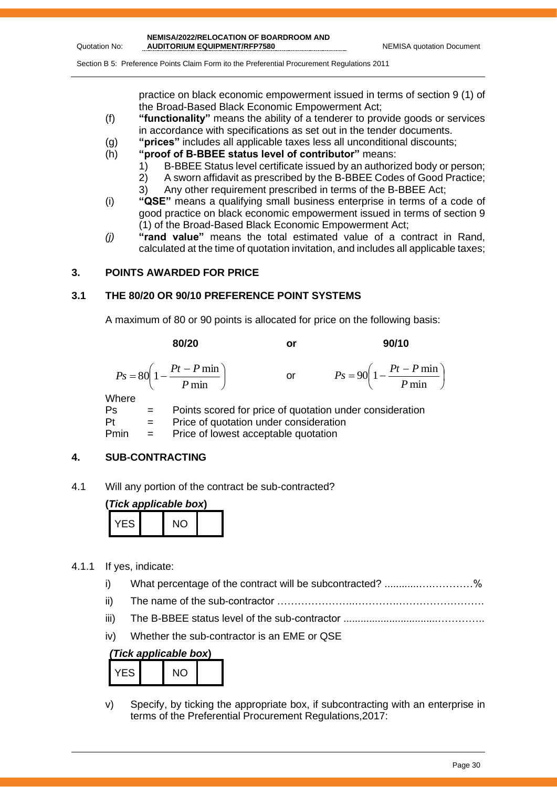Section B 5: Preference Points Claim Form ito the Preferential Procurement Regulations 2011

practice on black economic empowerment issued in terms of section 9 (1) of the Broad-Based Black Economic Empowerment Act;

- (f) **"functionality"** means the ability of a tenderer to provide goods or services in accordance with specifications as set out in the tender documents.
- (g) **"prices"** includes all applicable taxes less all unconditional discounts;
- (h) **"proof of B-BBEE status level of contributor"** means:
	- 1) B-BBEE Status level certificate issued by an authorized body or person;
	- 2) A sworn affidavit as prescribed by the B-BBEE Codes of Good Practice;
	- 3) Any other requirement prescribed in terms of the B-BBEE Act;
- (i) **"QSE"** means a qualifying small business enterprise in terms of a code of good practice on black economic empowerment issued in terms of section 9 (1) of the Broad-Based Black Economic Empowerment Act;
- *(j)* **"rand value"** means the total estimated value of a contract in Rand, calculated at the time of quotation invitation, and includes all applicable taxes;

### **3. POINTS AWARDED FOR PRICE**

Quotation No:

### **3.1 THE 80/20 OR 90/10 PREFERENCE POINT SYSTEMS**

 $Pt =$  Price of quotation under consideration Pmin = Price of lowest acceptable quotation

A maximum of 80 or 90 points is allocated for price on the following basis:

|       | 80/20                                                       | or | 90/10                                                     |
|-------|-------------------------------------------------------------|----|-----------------------------------------------------------|
|       | $P_s = 80 \left( 1 - \frac{Pt - P \min P}{ \min P} \right)$ | or | $P_s = 90 \left( 1 - \frac{Pt - P \min P}{ \min} \right)$ |
| Where |                                                             |    |                                                           |
| Ps    | Points scored for price of quotation under consideration    |    |                                                           |

**4. SUB-CONTRACTING**

4.1 Will any portion of the contract be sub-contracted?

| (Tick applicable box) |  |     |  |  |
|-----------------------|--|-----|--|--|
| YFS.                  |  | NO. |  |  |

- 4.1.1 If yes, indicate:
	- i) What percentage of the contract will be subcontracted? ...........................%
	- ii) The name of the sub-contractor …………………..………….…………………….
	- iii) The B-BBEE status level of the sub-contractor .................................…………..
	- iv) Whether the sub-contractor is an EME or QSE

### *(Tick applicable box***)**

| FS | \IC` |  |
|----|------|--|

v) Specify, by ticking the appropriate box, if subcontracting with an enterprise in terms of the Preferential Procurement Regulations,2017: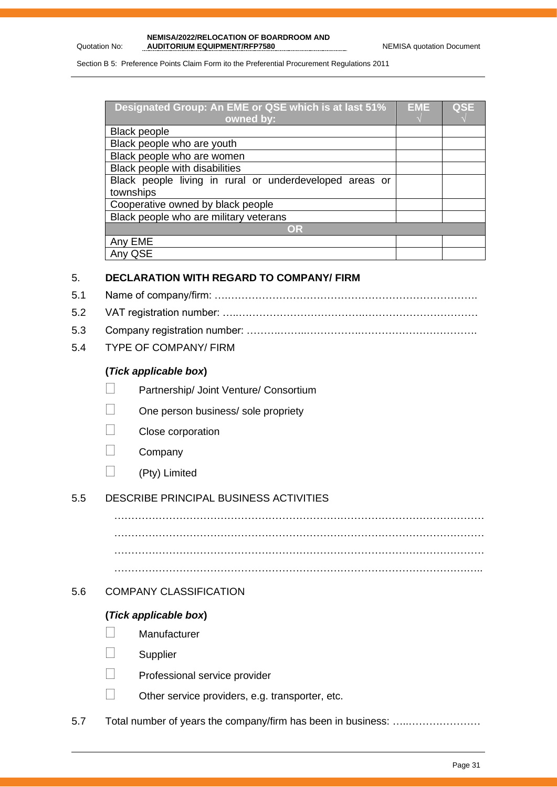Quotation No:

### **NEMISA/2022/RELOCATION OF BOARDROOM AND**  AUDITORIUM EQUIPMENT/RFP7580 NEMISA quotation Document

Section B 5: Preference Points Claim Form ito the Preferential Procurement Regulations 2011

| Designated Group: An EME or QSE which is at last 51%    | EME | <b>QSE</b> |
|---------------------------------------------------------|-----|------------|
| owned by:                                               |     |            |
| <b>Black people</b>                                     |     |            |
| Black people who are youth                              |     |            |
| Black people who are women                              |     |            |
| Black people with disabilities                          |     |            |
| Black people living in rural or underdeveloped areas or |     |            |
| townships                                               |     |            |
| Cooperative owned by black people                       |     |            |
| Black people who are military veterans                  |     |            |
| OR                                                      |     |            |
| Any EME                                                 |     |            |
| QSE                                                     |     |            |

### 5. **DECLARATION WITH REGARD TO COMPANY/ FIRM**

- 5.1 Name of company/firm: ….……………………………………………………………….
- 5.2 VAT registration number: …..……………………………….……………………………
- 5.3 Company registration number: ……….……..…………….…………………………….
- 5.4 TYPE OF COMPANY/ FIRM

### **(***Tick applicable box***)**

- Partnership/ Joint Venture/ Consortium
- One person business/ sole propriety
- Close corporation
- **Company**
- $\Box$  (Pty) Limited

### 5.5 DESCRIBE PRINCIPAL BUSINESS ACTIVITIES

……………………………………………………………………………………………… ……………………………………………………………………………………………… ………………………………………………………………………………………….…..

………………………………………………………………………………………………

### 5.6 COMPANY CLASSIFICATION

### **(***Tick applicable box***)**

- **Manufacturer**
- **Supplier**
- Professional service provider
- Other service providers, e.g. transporter, etc.
- 5.7 Total number of years the company/firm has been in business: …..…………………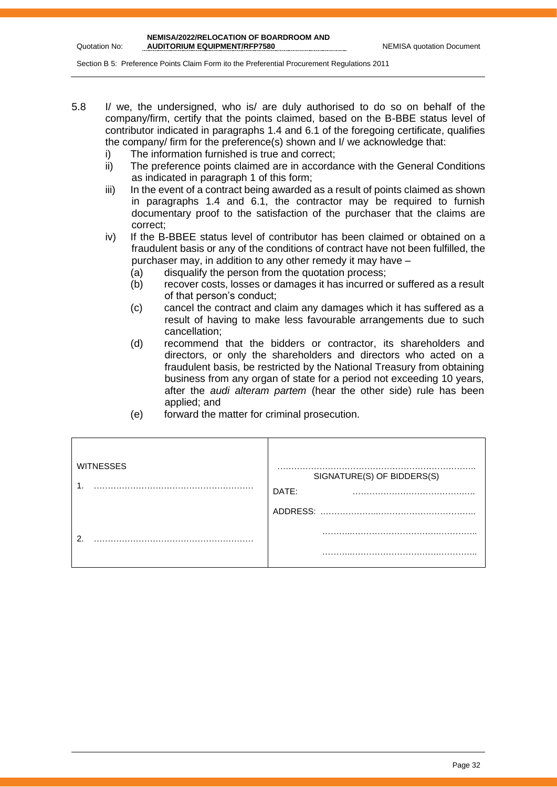Section B 5: Preference Points Claim Form ito the Preferential Procurement Regulations 2011

- 5.8 I/ we, the undersigned, who is/ are duly authorised to do so on behalf of the company/firm, certify that the points claimed, based on the B-BBE status level of contributor indicated in paragraphs 1.4 and 6.1 of the foregoing certificate, qualifies the company/ firm for the preference(s) shown and I/ we acknowledge that:
	- i) The information furnished is true and correct;
	- ii) The preference points claimed are in accordance with the General Conditions as indicated in paragraph 1 of this form;
	- iii) In the event of a contract being awarded as a result of points claimed as shown in paragraphs 1.4 and 6.1, the contractor may be required to furnish documentary proof to the satisfaction of the purchaser that the claims are correct;
	- iv) If the B-BBEE status level of contributor has been claimed or obtained on a fraudulent basis or any of the conditions of contract have not been fulfilled, the purchaser may, in addition to any other remedy it may have –
		- (a) disqualify the person from the quotation process;
		- (b) recover costs, losses or damages it has incurred or suffered as a result of that person's conduct;
		- (c) cancel the contract and claim any damages which it has suffered as a result of having to make less favourable arrangements due to such cancellation;
		- (d) recommend that the bidders or contractor, its shareholders and directors, or only the shareholders and directors who acted on a fraudulent basis, be restricted by the National Treasury from obtaining business from any organ of state for a period not exceeding 10 years, after the *audi alteram partem* (hear the other side) rule has been applied; and
		- (e) forward the matter for criminal prosecution.

| <b>WITNESSES</b> | ----<br>SIGNATURE(S) OF BIDDERS(S)<br>DATE: |
|------------------|---------------------------------------------|
|                  | ADDRESS:                                    |
| ◠                | .                                           |
|                  |                                             |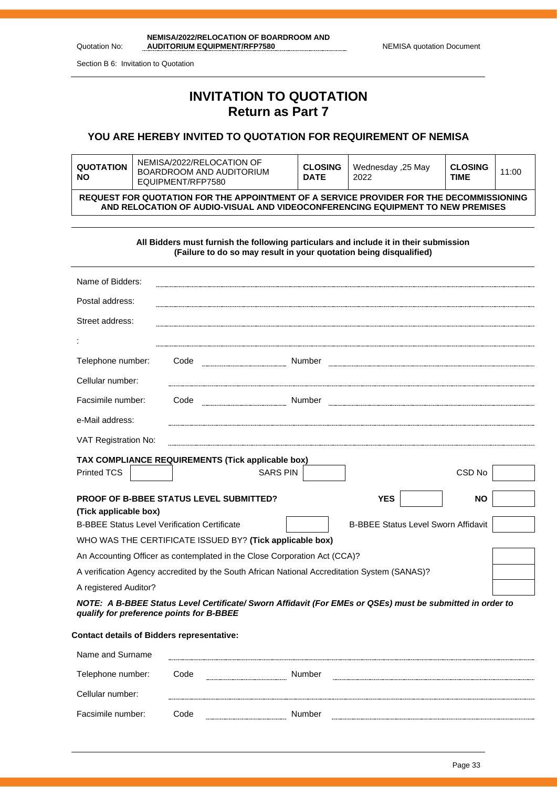| NEMISA/2022/RELOCATION OF BOARDROOM AND |                                  |
|-----------------------------------------|----------------------------------|
| <b>AUDITORIUM EQUIPMENT/RFP7580</b>     | <b>NEMISA quotation Document</b> |

Section B 6: Invitation to Quotation

Quotation No:

# **INVITATION TO QUOTATION Return as Part 7**

### **YOU ARE HEREBY INVITED TO QUOTATION FOR REQUIREMENT OF NEMISA**

| <b>QUOTATION</b><br><b>NO</b>                                                                                                                                             | NEMISA/2022/RELOCATION OF<br>BOARDROOM AND AUDITORIUM<br>FOUPMENT/REP7580 | <b>CLOSING</b><br><b>DATE</b> | Wednesday ,25 May<br>2022 | <b>CLOSING</b><br>TIME | 11:00 |  |
|---------------------------------------------------------------------------------------------------------------------------------------------------------------------------|---------------------------------------------------------------------------|-------------------------------|---------------------------|------------------------|-------|--|
| REQUEST FOR QUOTATION FOR THE APPOINTMENT OF A SERVICE PROVIDER FOR THE DECOMMISSIONING<br>AND RELOCATION OF AUDIO-VISUAL AND VIDEOCONFERENCING EQUIPMENT TO NEW PREMISES |                                                                           |                               |                           |                        |       |  |

**All Bidders must furnish the following particulars and include it in their submission (Failure to do so may result in your quotation being disqualified)**

| Name of Bidders:                                    |                                                                                              |                 |                                                                                                           |           |
|-----------------------------------------------------|----------------------------------------------------------------------------------------------|-----------------|-----------------------------------------------------------------------------------------------------------|-----------|
| Postal address:                                     |                                                                                              |                 |                                                                                                           |           |
| Street address:                                     |                                                                                              |                 |                                                                                                           |           |
|                                                     |                                                                                              |                 |                                                                                                           |           |
| Telephone number:                                   | Code                                                                                         | Number          |                                                                                                           |           |
| Cellular number:                                    |                                                                                              |                 |                                                                                                           |           |
| Facsimile number:                                   | Code                                                                                         | Number          |                                                                                                           |           |
| e-Mail address:                                     |                                                                                              |                 |                                                                                                           |           |
| VAT Registration No:                                |                                                                                              |                 |                                                                                                           |           |
|                                                     | TAX COMPLIANCE REQUIREMENTS (Tick applicable box)                                            |                 |                                                                                                           |           |
| Printed TCS                                         |                                                                                              | <b>SARS PIN</b> |                                                                                                           | CSD No    |
|                                                     | <b>PROOF OF B-BBEE STATUS LEVEL SUBMITTED?</b>                                               |                 | <b>YES</b>                                                                                                | <b>NO</b> |
| (Tick applicable box)                               |                                                                                              |                 |                                                                                                           |           |
| <b>B-BBEE Status Level Verification Certificate</b> |                                                                                              |                 | <b>B-BBEE Status Level Sworn Affidavit</b>                                                                |           |
|                                                     | WHO WAS THE CERTIFICATE ISSUED BY? (Tick applicable box)                                     |                 |                                                                                                           |           |
|                                                     | An Accounting Officer as contemplated in the Close Corporation Act (CCA)?                    |                 |                                                                                                           |           |
|                                                     | A verification Agency accredited by the South African National Accreditation System (SANAS)? |                 |                                                                                                           |           |
| A registered Auditor?                               |                                                                                              |                 |                                                                                                           |           |
| qualify for preference points for B-BBEE            |                                                                                              |                 | NOTE: A B-BBEE Status Level Certificate/ Sworn Affidavit (For EMEs or QSEs) must be submitted in order to |           |
| <b>Contact details of Bidders representative:</b>   |                                                                                              |                 |                                                                                                           |           |
| Name and Surname                                    |                                                                                              |                 |                                                                                                           |           |

| Telephone number: | Code | Number | ------------ |
|-------------------|------|--------|--------------|
| Cellular number:  |      |        |              |
| Facsimile number: | Code | Number |              |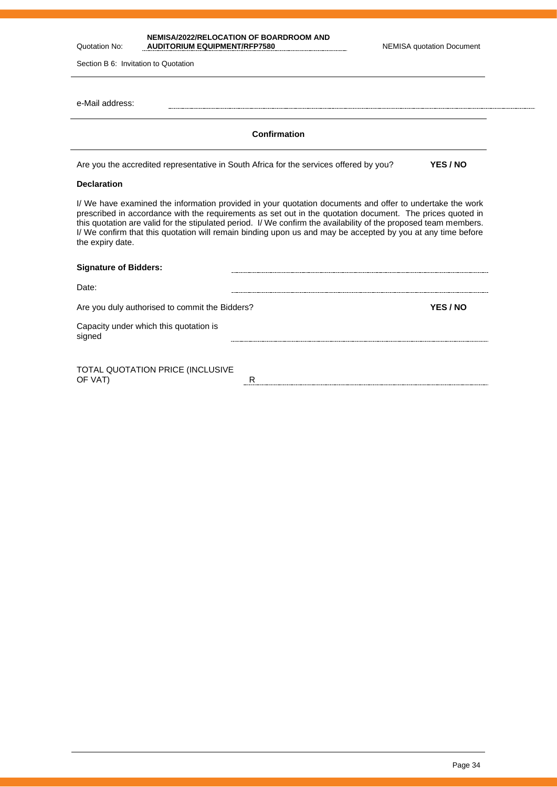**NEMISA/2022/RELOCATION OF BOARDROOM AND**  AUDITORIUM EQUIPMENT/RFP7580

Section B 6: Invitation to Quotation

Quotation No:

| Section B 6: Invitation to Quotation                                                                                                                                                                                                                                                                                                                                                                                                                                         |                 |
|------------------------------------------------------------------------------------------------------------------------------------------------------------------------------------------------------------------------------------------------------------------------------------------------------------------------------------------------------------------------------------------------------------------------------------------------------------------------------|-----------------|
| e-Mail address:                                                                                                                                                                                                                                                                                                                                                                                                                                                              |                 |
| Confirmation                                                                                                                                                                                                                                                                                                                                                                                                                                                                 |                 |
| Are you the accredited representative in South Africa for the services offered by you?                                                                                                                                                                                                                                                                                                                                                                                       | <b>YES / NO</b> |
| <b>Declaration</b>                                                                                                                                                                                                                                                                                                                                                                                                                                                           |                 |
| I/ We have examined the information provided in your quotation documents and offer to undertake the work<br>prescribed in accordance with the requirements as set out in the quotation document. The prices quoted in<br>this quotation are valid for the stipulated period. I/ We confirm the availability of the proposed team members.<br>I/ We confirm that this quotation will remain binding upon us and may be accepted by you at any time before<br>the expiry date. |                 |
| <b>Signature of Bidders:</b>                                                                                                                                                                                                                                                                                                                                                                                                                                                 |                 |

| Date:                                            |          |
|--------------------------------------------------|----------|
| Are you duly authorised to commit the Bidders?   | YES / NO |
| Capacity under which this quotation is<br>signed |          |
|                                                  |          |
|                                                  |          |

TOTAL QUOTATION PRICE (INCLUSIVE OF VAT) RESERVED TO A RESERVED TO A RESERVED TO A RESERVED TO A RESERVED TO A RESERVED TO A RESERVED TO A RESERVED TO A RESERVED TO A RESERVED TO A RESERVED TO A RESERVED TO A RESERVED TO A RESERVED TO A RESERVED TO A RESE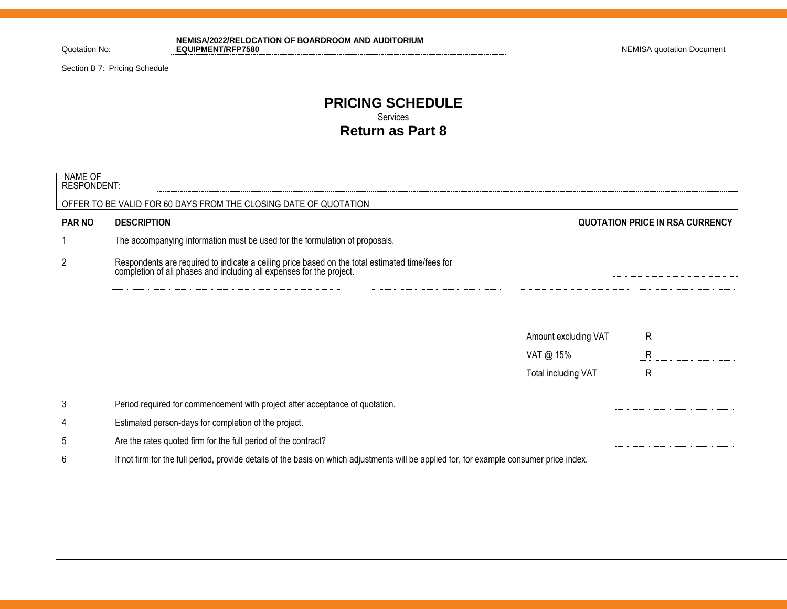Quotation No:

**NEMISA/2022/RELOCATION OF BOARDROOM AND AUDITORIUM EQUIPMENT/RFP7580** NEMISA quotation Document

Section B 7: Pricing Schedule

### **PRICING SCHEDULE** Services **Return as Part 8**

| NAME OF<br><b>RESPONDENT:</b> |                                                                                                                                                                      |                      |                                        |
|-------------------------------|----------------------------------------------------------------------------------------------------------------------------------------------------------------------|----------------------|----------------------------------------|
|                               | OFFER TO BE VALID FOR 60 DAYS FROM THE CLOSING DATE OF QUOTATION                                                                                                     |                      |                                        |
| <b>PAR NO</b>                 | <b>DESCRIPTION</b>                                                                                                                                                   |                      | <b>QUOTATION PRICE IN RSA CURRENCY</b> |
|                               | The accompanying information must be used for the formulation of proposals.                                                                                          |                      |                                        |
| $\overline{c}$                | Respondents are required to indicate a ceiling price based on the total estimated time/fees for completion of all phases and including all expenses for the project. |                      |                                        |
|                               |                                                                                                                                                                      |                      |                                        |
|                               |                                                                                                                                                                      | Amount excluding VAT | R                                      |
|                               |                                                                                                                                                                      | VAT @ 15%            | $\mathsf{R}$                           |
|                               |                                                                                                                                                                      | Total including VAT  | R                                      |
| 3                             | Period required for commencement with project after acceptance of quotation.                                                                                         |                      |                                        |
| 4                             | Estimated person-days for completion of the project.                                                                                                                 |                      |                                        |
| 5                             | Are the rates quoted firm for the full period of the contract?                                                                                                       |                      |                                        |
| 6                             | If not firm for the full period, provide details of the basis on which adjustments will be applied for, for example consumer price index.                            |                      |                                        |